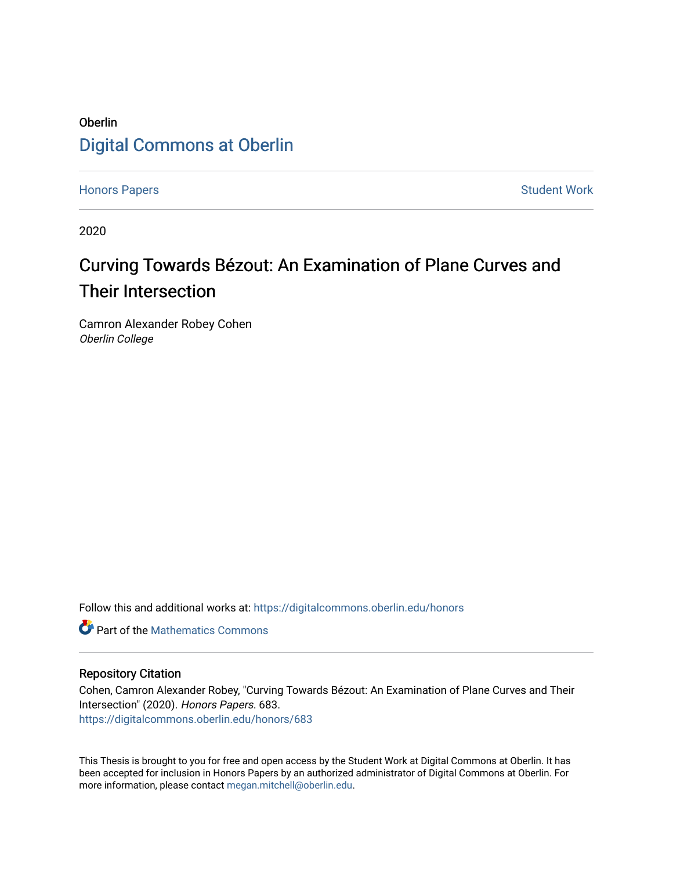### Oberlin [Digital Commons at Oberlin](https://digitalcommons.oberlin.edu/)

[Honors Papers](https://digitalcommons.oberlin.edu/honors) **Student Work** 

2020

## Curving Towards Bézout: An Examination of Plane Curves and Their Intersection

Camron Alexander Robey Cohen Oberlin College

Follow this and additional works at: [https://digitalcommons.oberlin.edu/honors](https://digitalcommons.oberlin.edu/honors?utm_source=digitalcommons.oberlin.edu%2Fhonors%2F683&utm_medium=PDF&utm_campaign=PDFCoverPages) 

**C** Part of the [Mathematics Commons](http://network.bepress.com/hgg/discipline/174?utm_source=digitalcommons.oberlin.edu%2Fhonors%2F683&utm_medium=PDF&utm_campaign=PDFCoverPages)

#### Repository Citation

Cohen, Camron Alexander Robey, "Curving Towards Bézout: An Examination of Plane Curves and Their Intersection" (2020). Honors Papers. 683. [https://digitalcommons.oberlin.edu/honors/683](https://digitalcommons.oberlin.edu/honors/683?utm_source=digitalcommons.oberlin.edu%2Fhonors%2F683&utm_medium=PDF&utm_campaign=PDFCoverPages) 

This Thesis is brought to you for free and open access by the Student Work at Digital Commons at Oberlin. It has been accepted for inclusion in Honors Papers by an authorized administrator of Digital Commons at Oberlin. For more information, please contact [megan.mitchell@oberlin.edu.](mailto:megan.mitchell@oberlin.edu)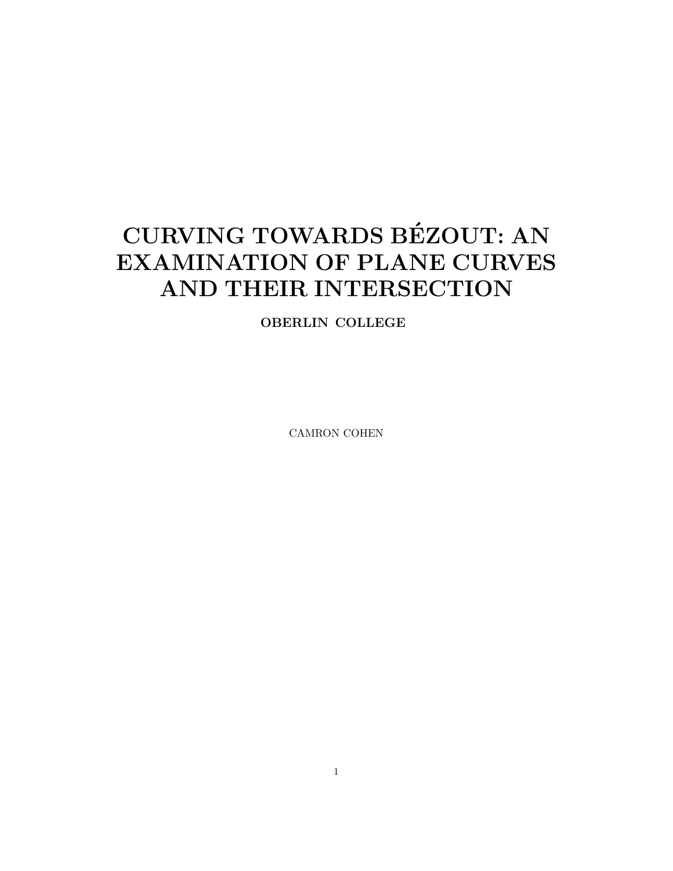# CURVING TOWARDS BEZOUT: AN ´ EXAMINATION OF PLANE CURVES AND THEIR INTERSECTION

OBERLIN COLLEGE

CAMRON COHEN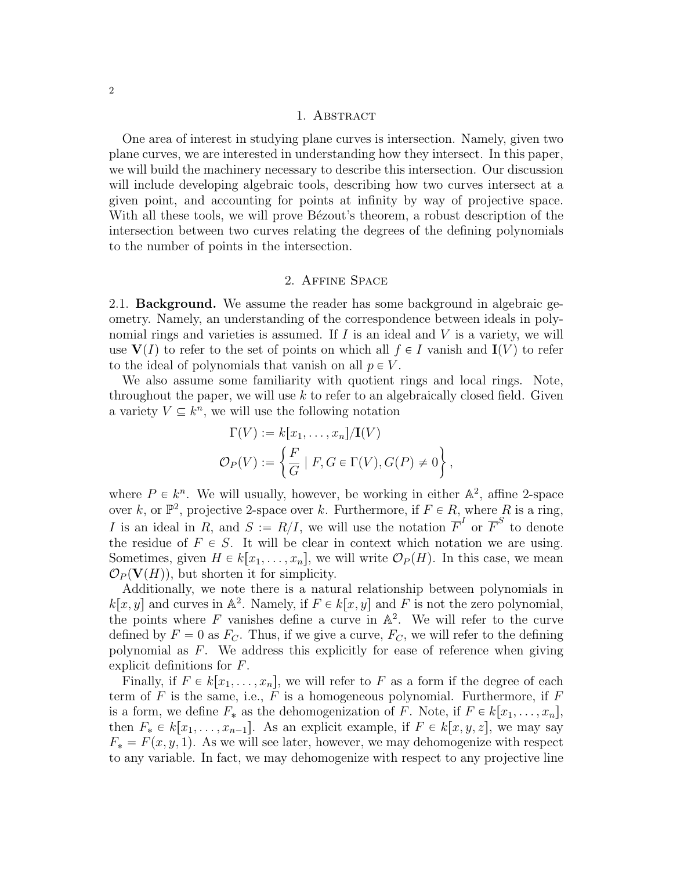#### 1. ABSTRACT

One area of interest in studying plane curves is intersection. Namely, given two plane curves, we are interested in understanding how they intersect. In this paper, we will build the machinery necessary to describe this intersection. Our discussion will include developing algebraic tools, describing how two curves intersect at a given point, and accounting for points at infinity by way of projective space. With all these tools, we will prove Bézout's theorem, a robust description of the intersection between two curves relating the degrees of the defining polynomials to the number of points in the intersection.

#### 2. Affine Space

2.1. Background. We assume the reader has some background in algebraic geometry. Namely, an understanding of the correspondence between ideals in polynomial rings and varieties is assumed. If  $I$  is an ideal and  $V$  is a variety, we will use  $V(I)$  to refer to the set of points on which all  $f \in I$  vanish and  $I(V)$  to refer to the ideal of polynomials that vanish on all  $p \in V$ .

We also assume some familiarity with quotient rings and local rings. Note, throughout the paper, we will use  $k$  to refer to an algebraically closed field. Given a variety  $V \subseteq k^n$ , we will use the following notation

$$
\Gamma(V) := k[x_1, \dots, x_n]/\mathbf{I}(V)
$$
  

$$
\mathcal{O}_P(V) := \left\{ \frac{F}{G} \mid F, G \in \Gamma(V), G(P) \neq 0 \right\},\
$$

where  $P \in k^n$ . We will usually, however, be working in either  $\mathbb{A}^2$ , affine 2-space over k, or  $\mathbb{P}^2$ , projective 2-space over k. Furthermore, if  $F \in R$ , where R is a ring, I is an ideal in R, and  $S := R/I$ , we will use the notation  $\overline{F}^I$  or  $\overline{F}^S$  to denote the residue of  $F \in S$ . It will be clear in context which notation we are using. Sometimes, given  $H \in k[x_1, \ldots, x_n]$ , we will write  $\mathcal{O}_P(H)$ . In this case, we mean  $\mathcal{O}_P(\mathbf{V}(H))$ , but shorten it for simplicity.

Additionally, we note there is a natural relationship between polynomials in  $k[x, y]$  and curves in  $\mathbb{A}^2$ . Namely, if  $F \in k[x, y]$  and F is not the zero polynomial, the points where  $F$  vanishes define a curve in  $\mathbb{A}^2$ . We will refer to the curve defined by  $F = 0$  as  $F_C$ . Thus, if we give a curve,  $F_C$ , we will refer to the defining polynomial as F. We address this explicitly for ease of reference when giving explicit definitions for F.

Finally, if  $F \in k[x_1, \ldots, x_n]$ , we will refer to F as a form if the degree of each term of  $F$  is the same, i.e.,  $F$  is a homogeneous polynomial. Furthermore, if  $F$ is a form, we define  $F_*$  as the dehomogenization of F. Note, if  $F \in k[x_1, \ldots, x_n]$ , then  $F_* \in k[x_1, \ldots, x_{n-1}]$ . As an explicit example, if  $F \in k[x, y, z]$ , we may say  $F_* = F(x, y, 1)$ . As we will see later, however, we may dehomogenize with respect to any variable. In fact, we may dehomogenize with respect to any projective line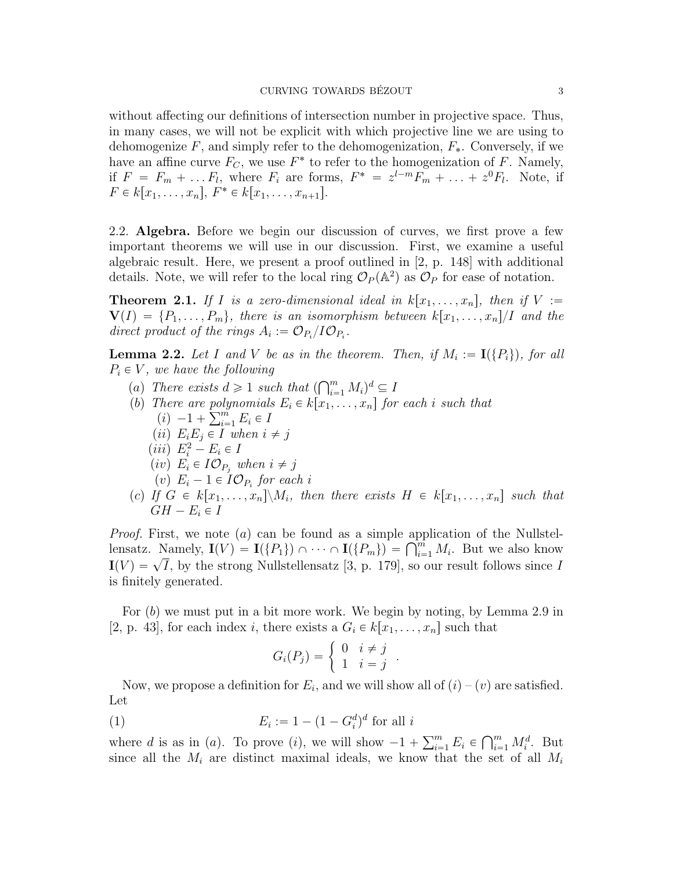without affecting our definitions of intersection number in projective space. Thus, in many cases, we will not be explicit with which projective line we are using to dehomogenize  $F$ , and simply refer to the dehomogenization,  $F_*$ . Conversely, if we have an affine curve  $F_C$ , we use  $F^*$  to refer to the homogenization of F. Namely, if  $F = F_m + \dots F_l$ , where  $F_i$  are forms,  $F^* = z^{l-m}F_m + \dots + z^0F_l$ . Note, if  $F \in k[x_1, \ldots, x_n], F^* \in k[x_1, \ldots, x_{n+1}].$ 

2.2. Algebra. Before we begin our discussion of curves, we first prove a few important theorems we will use in our discussion. First, we examine a useful algebraic result. Here, we present a proof outlined in [2, p. 148] with additional details. Note, we will refer to the local ring  $\mathcal{O}_P(\mathbb{A}^2)$  as  $\mathcal{O}_P$  for ease of notation.

**Theorem 2.1.** If I is a zero-dimensional ideal in  $k[x_1, \ldots, x_n]$ , then if  $V :=$  $\mathbf{V}(I) = \{P_1, \ldots, P_m\}$ , there is an isomorphism between  $k[x_1, \ldots, x_n]/I$  and the direct product of the rings  $A_i := \mathcal{O}_{P_i}/I\mathcal{O}_{P_i}$ .

**Lemma 2.2.** Let I and V be as in the theorem. Then, if  $M_i := \mathbf{I}(\{P_i\})$ , for all  $P_i \in V$ , we have the following

- $p$ , we have the joutowing<br>
(a) There exists  $d \geq 1$  such that  $(\bigcap_{i=1}^m$  $\sum_{i=1}^m M_i)^d \subseteq I$
- (b) There are polynomials  $E_i \in k[x_1, \ldots, x_n]$  for each i such that There are poly<br>(i)  $-1 + \sum_{i=1}^{m}$ 
	- $\sum_{i=1}^m E_i \in I$
	- (*ii*)  $E_iE_j \in I$  when  $i \neq j$
	- $(iii)$   $E_i^2 E_i \in I$
	- (iv)  $E_i \in I \mathcal{O}_{P_i}$  when  $i \neq j$
	- (v)  $E_i 1 \in I \mathcal{O}_{P_i}$  for each i
- (c) If  $G \in k[x_1, \ldots, x_n] \backslash M_i$ , then there exists  $H \in k[x_1, \ldots, x_n]$  such that  $GH - E_i \in I$

*Proof.* First, we note  $(a)$  can be found as a simple application of the Nullstel-*Proof.* First, we note (*a*) can be found as a simple application of the Nullstell-<br>lensatz. Namely,  $\mathbf{I}(V) = \mathbf{I}(\{P_1\}) \cap \cdots \cap \mathbf{I}(\{P_m\}) = \bigcap_{i=1}^m M_i$ . But we also know If Islack Namely,  $\mathbf{I}(V) = \mathbf{I}(\{I\}_1) \cap \cdots \cap \mathbf{I}(\{I\}_m) = \prod_{i=1}^{m_i} M_i$ . But we also know  $\mathbf{I}(V) = \sqrt{I}$ , by the strong Nullstellensatz [3, p. 179], so our result follows since I is finitely generated.

For  $(b)$  we must put in a bit more work. We begin by noting, by Lemma 2.9 in [2, p. 43], for each index *i*, there exists a  $G_i \in k[x_1, \ldots, x_n]$  such that<br> $G_i(P_j) = \begin{cases} 0 & i \neq j \\ 1 & i = i \end{cases}$ .

$$
G_i(P_j) = \left\{ \begin{array}{ll} 0 & i \neq j \\ 1 & i = j \end{array} \right..
$$

Now, we propose a definition for  $E_i$ , and we will show all of  $(i) - (v)$  are satisfied. Let

 $(E_i$  $:= 1 - (1 - G_i^d)^d$  for all *i* 

where d is as in (a). To prove (i), we will show  $-1 + \sum_{i=1}^{m}$  $\sum_{i=1}^m E_i \in$  $\bigcap^m$  $\sum_{i=1}^m M_i^d$ . But since all the  $M_i$  are distinct maximal ideals, we know that the set of all  $M_i$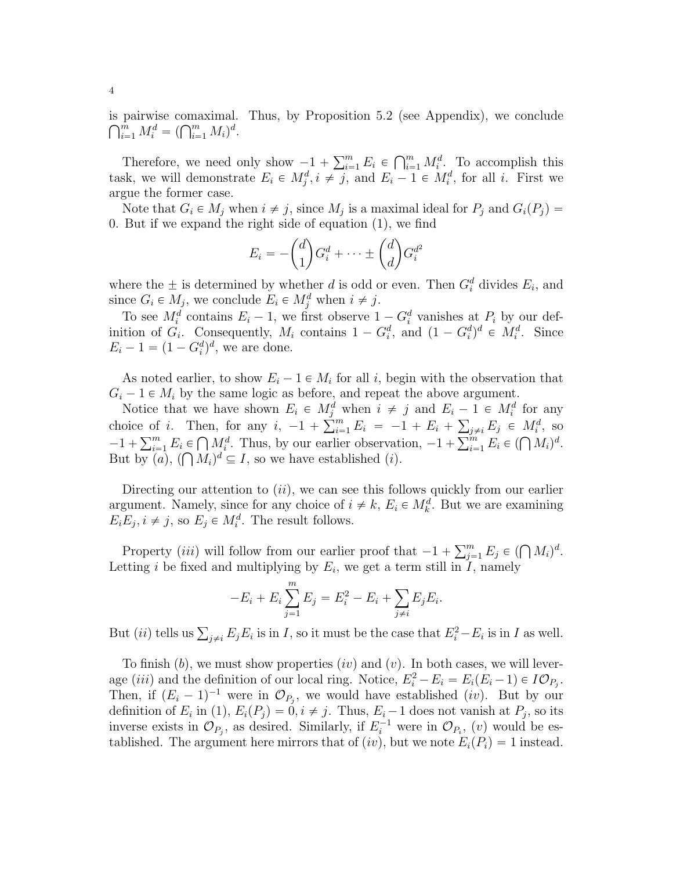is pairwise comaximal. Thus, by Proposition 5.2 (see Appendix), we conclude  $\widehat{C}^m$  *Md*  $(\widehat{C}^m$  *M*<sup>d</sup> pairwise comaximal.<br>  $\sum_{i=1}^m M_i^d = (\bigcap_{i=1}^m M_i)^d.$ 

Therefore, we need only show  $-1 + \sum_{i=1}^{m}$  $\sum_{i=1}^m E_i \in$  $\bigcap^m$  $\sum_{i=1}^{m} M_i^d$ . To accomplish this task, we will demonstrate  $E_i \in M_j^d, i \neq j$ , and  $E_i - 1 \in M_i^d$ , for all i. First we argue the former case.

Note that  $G_i \in M_j$  when  $i \neq j$ , since  $M_j$  is a maximal ideal for  $P_j$  and  $G_i(P_j)$  $0.$  But if we expand the right side of equation  $(1)$ , we find

$$
E_i = -\binom{d}{1} G_i^d + \dots \pm \binom{d}{d} G_i^{d^2}
$$

where the  $\pm$  is determined by whether d is odd or even. Then  $G_i^d$  divides  $E_i$ , and since  $G_i \in M_j$ , we conclude  $E_i \in M_j^d$  when  $i \neq j$ .

To see  $M_i^d$  contains  $E_i - 1$ , we first observe  $1 - G_i^d$  vanishes at  $P_i$  by our definition of  $G_i$ . Consequently,  $M_i$  contains  $1 - G_i^d$ , and  $(1 - G_i^d)^d \in M_i^d$ . Since  $E_i - 1 = (1 - G_i^d)^d$ , we are done.

As noted earlier, to show  $E_i - 1 \in M_i$  for all i, begin with the observation that  $G_i - 1 \in M_i$  by the same logic as before, and repeat the above argument.

Notice that we have shown  $E_i \in M_j^d$  when  $i \neq j$  and  $E_i - 1 \in M_i^d$  for any Notice that we have shown  $E_i \in M_j^*$ .<br>choice of i. Then, for any  $i, -1 + \sum_{i=1}^m$  $\sum_{i=1}^{m} E_i = -1 + E_i +$ ř be of *i*. Then, for any  $i, -1 + \sum_{i=1}^{m} E_i = -1 + E_i + \sum_{j \neq i} E_j \in M_i^d$ , so  $\sum_{i=1}^{m} E_i \subseteq \bigcirc M_i^d$  Thus because observation.  $1 + \sum_{i=1}^{m} E_i \subseteq \bigcirc M_i^d$ choice of *i*. Then, for any *i*,  $-1 + \sum_{i=1}^{\infty} E_i = -1 + E_i + \sum_{j \neq i} E_j \in M_i^x$ , so  $-1 + \sum_{i=1}^m E_i \in \bigcap M_i^d$ . Thus, by our earlier observation,  $-1 + \sum_{i=1}^m E_i \in (\bigcap M_i)^d$ . But by  $(a)$ ,  $(\bigcap M_i)^d \subseteq I$ , so we have established  $(i)$ .

Directing our attention to  $(ii)$ , we can see this follows quickly from our earlier argument. Namely, since for any choice of  $i \neq k$ ,  $E_i \in M_k^d$ . But we are examining  $E_i E_j, i \neq j$ , so  $E_j \in M_i^d$ . The result follows.

Property *(iii)* will follow from our earlier proof that  $-1 + \sum_{j=1}^{m} E_j \in (\bigcap M_i)^d$ . Letting i be fixed and multiplying by  $E_i$ , we get a term still in I, namely

$$
-E_i + E_i \sum_{j=1}^{m} E_j = E_i^2 - E_i + \sum_{j \neq i} E_j E_i.
$$

But *(ii)* tells us  $\sum_{j\neq i} E_j E_i$  is in *I*, so it must be the case that  $E_i^2 - E_i$  is in *I* as well.

To finish  $(b)$ , we must show properties  $(iv)$  and  $(v)$ . In both cases, we will leverage (*iii*) and the definition of our local ring. Notice,  $E_i^2 - E_i = E_i (E_i - 1) \in IO_{P_j}$ . Then, if  $(E_i - 1)^{-1}$  were in  $\mathcal{O}_{P_j}$ , we would have established *(iv)*. But by our definition of  $E_i$  in (1),  $E_i(P_j) = 0, i \neq j$ . Thus,  $E_i - 1$  does not vanish at  $P_j$ , so its inverse exists in  $\mathcal{O}_{P_j}$ , as desired. Similarly, if  $E_i^{-1}$  were in  $\mathcal{O}_{P_i}$ ,  $(v)$  would be established. The argument here mirrors that of *(iv)*, but we note  $E_i(P_i) = 1$  instead.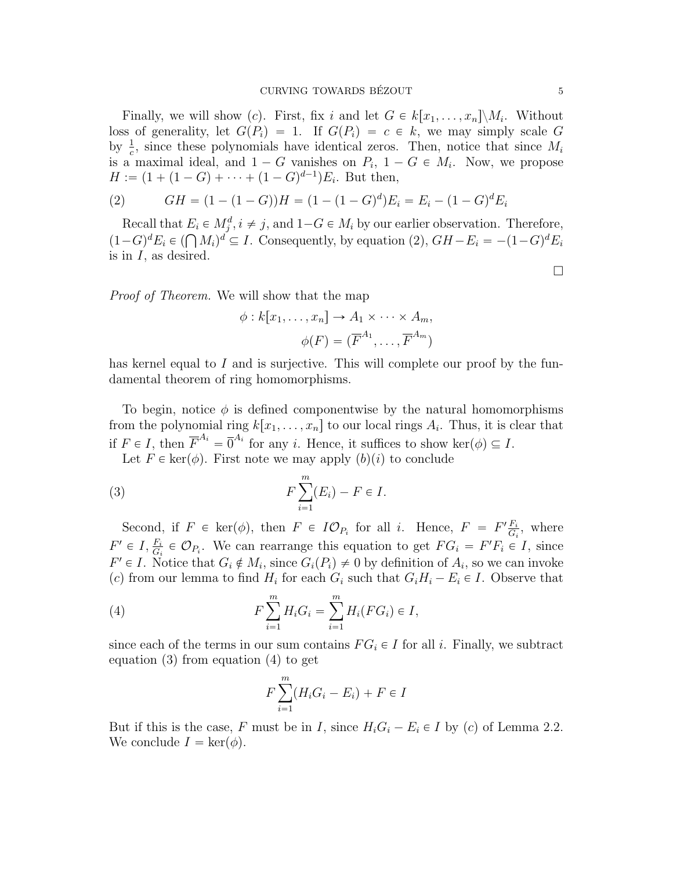Finally, we will show (c). First, fix i and let  $G \in k[x_1, \ldots, x_n] \backslash M_i$ . Without loss of generality, let  $G(P_i) = 1$ . If  $G(P_i) = c \in k$ , we may simply scale G by  $\frac{1}{c}$ , since these polynomials have identical zeros. Then, notice that since  $M_i$ is a maximal ideal, and  $1 - G$  vanishes on  $P_i$ ,  $1 - G \in M_i$ . Now, we propose  $H := (1 + (1 - G) + \cdots + (1 - G)^{d-1})E_i$ . But then,

(2) 
$$
GH = (1 - (1 - G))H = (1 - (1 - G)^d)E_i = E_i - (1 - G)^d E_i
$$

Recall that  $E_i \in M_j^d, i \neq j$ , and  $1-G \in M_i$  by our earlier observation. Therefore, Recall that  $E_i \in M_j^{\alpha}$ ,  $i \neq j$ , and  $1-G \in M_i$  by our earlier observation. Therefore,<br> $(1-G)^d E_i \in (\bigcap M_i)^d \subseteq I$ . Consequently, by equation (2),  $GH - E_i = -(1-G)^d E_i$ is in  $I$ , as desired.

*Proof of Theorem.* We will show that the map

$$
\phi: k[x_1, \dots, x_n] \to A_1 \times \dots \times A_m,
$$

$$
\phi(F) = (\overline{F}^{A_1}, \dots, \overline{F}^{A_m})
$$

has kernel equal to I and is surjective. This will complete our proof by the fundamental theorem of ring homomorphisms.

To begin, notice  $\phi$  is defined componentwise by the natural homomorphisms from the polynomial ring  $k[x_1, \ldots, x_n]$  to our local rings  $A_i$ . Thus, it is clear that if  $F \in I$ , then  $\overline{F}^{A_i} = \overline{0}^{A_i}$  for any *i*. Hence, it suffices to show ker $(\phi) \subseteq I$ .

Let  $F \in \text{ker}(\phi)$ . First note we may apply  $(b)(i)$  to conclude

(3) 
$$
F\sum_{i=1}^{m}(E_i)-F\in I.
$$

Second, if  $F \in \text{ker}(\phi)$ , then  $F \in \mathit{IO}_{P_i}$  for all i. Hence,  $F = F' \frac{F_i}{G_i}$  $\frac{F_i}{G_i}$ , where  $F' \in I$ ,  $\frac{F_i}{G_i} \in \mathcal{O}_{P_i}$ . We can rearrange this equation to get  $FG_i = F'F_i \in I$ , since  $F' \in I$ . Notice that  $G_i \notin M_i$ , since  $G_i(P_i) \neq 0$  by definition of  $A_i$ , so we can invoke (c) from our lemma to find  $H_i$  for each  $G_i$  such that  $G_i H_i - E_i \in I$ . Observe that

(4) 
$$
F\sum_{i=1}^{m}H_{i}G_{i}=\sum_{i=1}^{m}H_{i}(FG_{i})\in I,
$$

since each of the terms in our sum contains  $FG_i \in I$  for all i. Finally, we subtract equation  $(3)$  from equation  $(4)$  to get

$$
F\sum_{i=1}^{m}(H_iG_i - E_i) + F \in I
$$

But if this is the case, F must be in I, since  $H_iG_i - E_i \in I$  by (c) of Lemma 2.2. We conclude  $I = \text{ker}(\phi)$ .

 $\Box$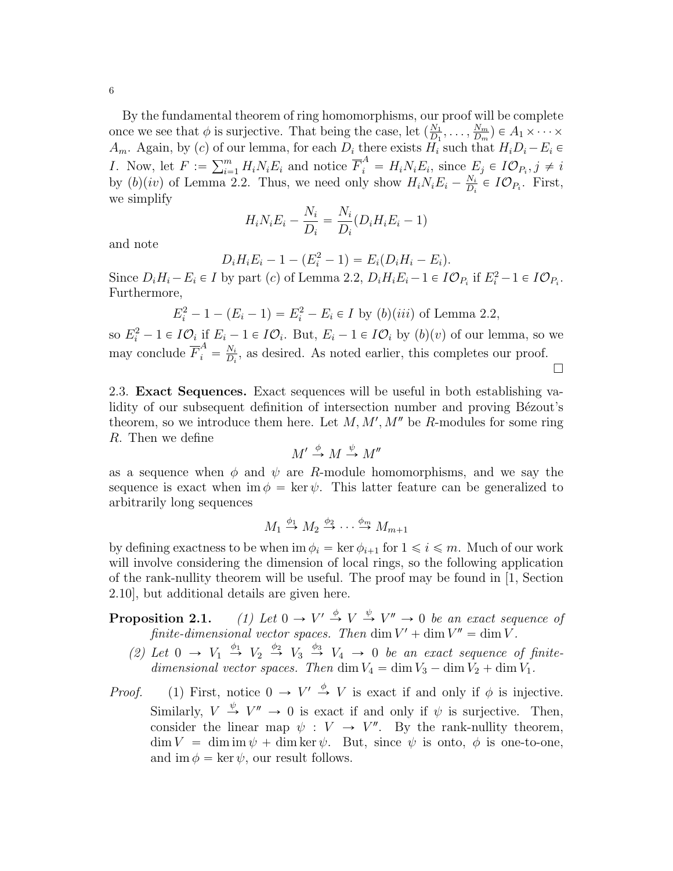By the fundamental theorem of ring homomorphisms, our proof will be complete once we see that  $\phi$  is surjective. That being the case, let  $\left(\frac{N_1}{D_1}\right)$  $\frac{N_1}{D_1}, \ldots, \frac{N_m}{D_m}$  $\frac{N_m}{D_m}$ )  $\in A_1 \times \cdots \times$  $A_m$ . Again, by (c) of our lemma, for each  $D_i$  there exists  $H_i$  such that  $H_iD_i - E_i \in$  $A_m$ . Again, by (c) of c<br>I. Now, let  $F := \sum_{i=1}^m$  $\sum_{i=1}^{m} H_i N_i E_i$  and notice  $\overline{F}_i^A = H_i N_i E_i$ , since  $E_j \in I \mathcal{O}_{P_i}, j \neq i$ by  $(b)(iv)$  of Lemma 2.2. Thus, we need only show  $H_i N_i E_i - \frac{N_i}{D_i}$  $\frac{N_i}{D_i} \in I \mathcal{O}_{P_i}$ . First, we simplify

$$
H_i N_i E_i - \frac{N_i}{D_i} = \frac{N_i}{D_i} (D_i H_i E_i - 1)
$$

and note

$$
D_i H_i E_i - 1 - (E_i^2 - 1) = E_i (D_i H_i - E_i).
$$

Since  $D_i H_i - E_i \in I$  by part (c) of Lemma 2.2,  $D_i H_i E_i - 1 \in I \mathcal{O}_{P_i}$  if  $E_i^2 - 1 \in I \mathcal{O}_{P_i}$ . Furthermore,

$$
E_i^2 - 1 - (E_i - 1) = E_i^2 - E_i \in I
$$
 by (b)(iii) of Lemma 2.2,

so  $E_i^2 - 1 \in I\mathcal{O}_i$  if  $E_i - 1 \in I\mathcal{O}_i$ . But,  $E_i - 1 \in I\mathcal{O}_i$  by  $(b)(v)$  of our lemma, so we may conclude  $\overline{F}_i^A = \frac{N_i}{D_i}$  $\frac{N_i}{D_i}$ , as desired. As noted earlier, this completes our proof.  $\Box$ 

2.3. Exact Sequences. Exact sequences will be useful in both establishing validity of our subsequent definition of intersection number and proving Bézout's theorem, so we introduce them here. Let  $M, M', M''$  be R-modules for some ring R. Then we define

$$
M' \xrightarrow{\phi} M \xrightarrow{\psi} M''
$$

as a sequence when  $\phi$  and  $\psi$  are R-module homomorphisms, and we say the sequence is exact when  $\text{im } \phi = \text{ker } \psi$ . This latter feature can be generalized to arbitrarily long sequences

$$
M_1 \stackrel{\phi_1}{\to} M_2 \stackrel{\phi_2}{\to} \cdots \stackrel{\phi_m}{\to} M_{m+1}
$$

by defining exactness to be when im  $\phi_i = \ker \phi_{i+1}$  for  $1 \leq i \leq m$ . Much of our work will involve considering the dimension of local rings, so the following application of the rank-nullity theorem will be useful. The proof may be found in [1, Section 2.10], but additional details are given here.

- Proposition 2.1.  $\gamma \stackrel{\phi}{\rightarrow} V \stackrel{\psi}{\rightarrow} V'' \rightarrow 0$  be an exact sequence of finite-dimensional vector spaces. Then  $\dim V' + \dim V'' = \dim V$ .
	- (2) Let  $0 \rightarrow V_1 \stackrel{\phi_1}{\rightarrow} V_2 \stackrel{\phi_2}{\rightarrow} V_3 \stackrel{\phi_3}{\rightarrow} V_4 \rightarrow 0$  be an exact sequence of finitedimensional vector spaces. Then dim  $V_4 = \dim V_3 - \dim V_2 + \dim V_1$ .
- *Proof.* (1) First, notice  $0 \to V' \stackrel{\phi}{\to} V$  is exact if and only if  $\phi$  is injective. Similarly,  $V \stackrel{\psi}{\rightarrow} V'' \rightarrow 0$  is exact if and only if  $\psi$  is surjective. Then, consider the linear map  $\psi : V \to V''$ . By the rank-nullity theorem,  $\dim V = \dim \text{im } \psi + \dim \text{ker } \psi$ . But, since  $\psi$  is onto,  $\phi$  is one-to-one, and im  $\phi = \ker \psi$ , our result follows.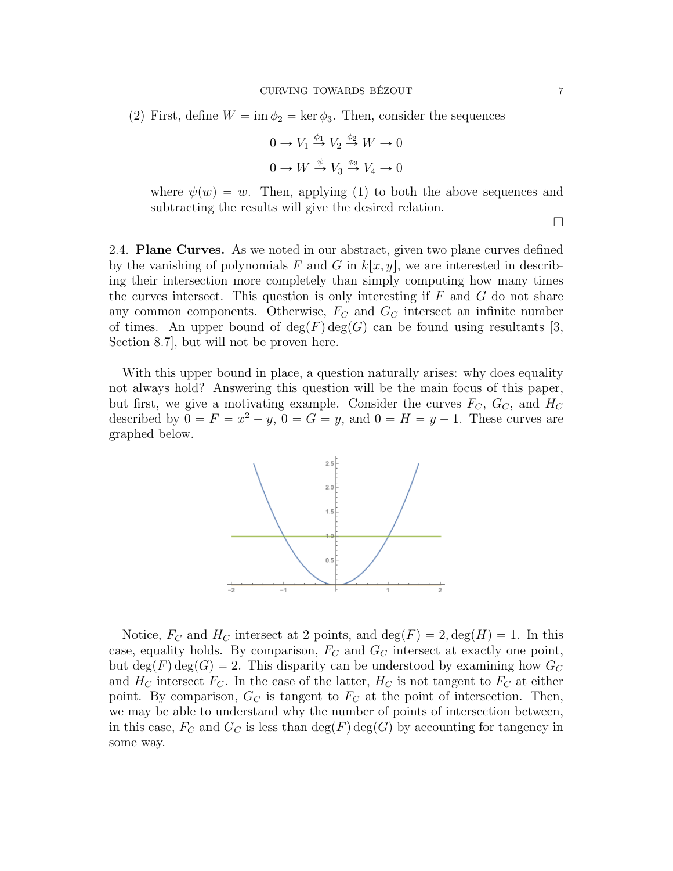(2) First, define  $W = \text{im } \phi_2 = \text{ker } \phi_3$ . Then, consider the sequences

$$
0 \to V_1 \stackrel{\phi_1}{\to} V_2 \stackrel{\phi_2}{\to} W \to 0
$$

$$
0 \to W \stackrel{\psi}{\to} V_3 \stackrel{\phi_3}{\to} V_4 \to 0
$$

where  $\psi(w) = w$ . Then, applying (1) to both the above sequences and subtracting the results will give the desired relation.

2.4. Plane Curves. As we noted in our abstract, given two plane curves defined by the vanishing of polynomials F and G in  $k[x, y]$ , we are interested in describing their intersection more completely than simply computing how many times the curves intersect. This question is only interesting if  $F$  and  $G$  do not share any common components. Otherwise,  $F_C$  and  $G_C$  intersect an infinite number of times. An upper bound of  $deg(F)deg(G)$  can be found using resultants [3, Section 8.7], but will not be proven here.

With this upper bound in place, a question naturally arises: why does equality not always hold? Answering this question will be the main focus of this paper, but first, we give a motivating example. Consider the curves  $F_C$ ,  $G_C$ , and  $H_C$ described by  $0 = F = x^2 - y$ ,  $0 = G = y$ , and  $0 = H = y - 1$ . These curves are graphed below.



Notice,  $F_C$  and  $H_C$  intersect at 2 points, and  $\deg(F) = 2$ ,  $\deg(H) = 1$ . In this case, equality holds. By comparison,  $F_C$  and  $G_C$  intersect at exactly one point, but  $\deg(F) \deg(G) = 2$ . This disparity can be understood by examining how  $G_C$ and  $H_C$  intersect  $F_C$ . In the case of the latter,  $H_C$  is not tangent to  $F_C$  at either point. By comparison,  $G_C$  is tangent to  $F_C$  at the point of intersection. Then, we may be able to understand why the number of points of intersection between, in this case,  $F_C$  and  $G_C$  is less than  $deg(F)deg(G)$  by accounting for tangency in some way.

 $\Box$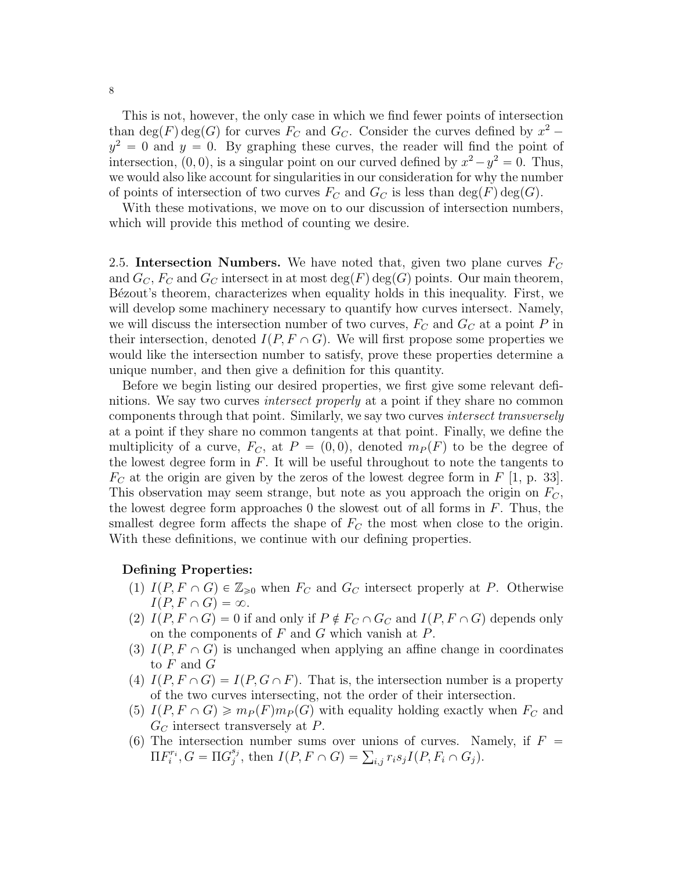This is not, however, the only case in which we find fewer points of intersection than  $\deg(F) \deg(G)$  for curves  $F_C$  and  $G_C$ . Consider the curves defined by  $x^2$  –  $y^2 = 0$  and  $y = 0$ . By graphing these curves, the reader will find the point of intersection,  $(0, 0)$ , is a singular point on our curved defined by  $x^2 - y^2 = 0$ . Thus, we would also like account for singularities in our consideration for why the number of points of intersection of two curves  $F_C$  and  $G_C$  is less than  $\deg(F) \deg(G)$ .

With these motivations, we move on to our discussion of intersection numbers, which will provide this method of counting we desire.

2.5. Intersection Numbers. We have noted that, given two plane curves  $F_C$ and  $G_C$ ,  $F_C$  and  $G_C$  intersect in at most  $\deg(F)$  deg(G) points. Our main theorem, Bézout's theorem, characterizes when equality holds in this inequality. First, we will develop some machinery necessary to quantify how curves intersect. Namely, we will discuss the intersection number of two curves,  $F_C$  and  $G_C$  at a point P in their intersection, denoted  $I(P, F \cap G)$ . We will first propose some properties we would like the intersection number to satisfy, prove these properties determine a unique number, and then give a definition for this quantity.

Before we begin listing our desired properties, we first give some relevant definitions. We say two curves intersect properly at a point if they share no common components through that point. Similarly, we say two curves intersect transversely at a point if they share no common tangents at that point. Finally, we define the multiplicity of a curve,  $F_C$ , at  $P = (0, 0)$ , denoted  $m_P(F)$  to be the degree of the lowest degree form in  $F$ . It will be useful throughout to note the tangents to  $F_C$  at the origin are given by the zeros of the lowest degree form in F [1, p. 33]. This observation may seem strange, but note as you approach the origin on  $F_C$ , the lowest degree form approaches 0 the slowest out of all forms in  $F$ . Thus, the smallest degree form affects the shape of  $F<sub>C</sub>$  the most when close to the origin. With these definitions, we continue with our defining properties.

#### Defining Properties:

- (1)  $I(P, F \cap G) \in \mathbb{Z}_{\geq 0}$  when  $F_C$  and  $G_C$  intersect properly at P. Otherwise  $I(P, F \cap G) = \infty$ .
- (2)  $I(P, F \cap G) = 0$  if and only if  $P \notin F_C \cap G_C$  and  $I(P, F \cap G)$  depends only on the components of  $F$  and  $G$  which vanish at  $P$ .
- (3)  $I(P, F \cap G)$  is unchanged when applying an affine change in coordinates to F and G
- (4)  $I(P, F \cap G) = I(P, G \cap F)$ . That is, the intersection number is a property of the two curves intersecting, not the order of their intersection.
- (5)  $I(P, F \cap G) \geq m_P(F)m_P(G)$  with equality holding exactly when  $F_C$  and  $G_C$  intersect transversely at P.
- (6) The intersection number sums over unions of curves. Namely, if  $F =$  $\Pi F_i^{r_i}, G = \Pi G_j^{s_j}$ on number sums over unions of curves. Na<br>  $j^{s_j}$ , then  $I(P, F \cap G) = \sum_{i,j} r_i s_j I(P, F_i \cap G_j)$ .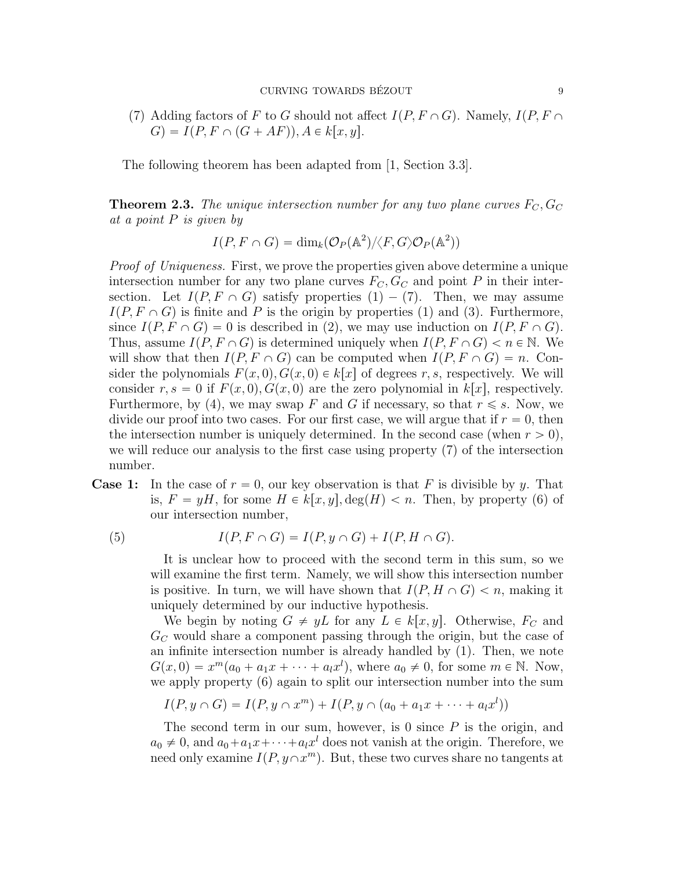(7) Adding factors of F to G should not affect  $I(P, F \cap G)$ . Namely,  $I(P, F \cap G)$  $G$ ) =  $I(P, F \cap (G + AF)), A \in k[x, y].$ 

The following theorem has been adapted from [1, Section 3.3].

**Theorem 2.3.** The unique intersection number for any two plane curves  $F_C$ ,  $G_C$ at a point P is given by

$$
I(P, F \cap G) = \dim_k(\mathcal{O}_P(\mathbb{A}^2) / \langle F, G \rangle \mathcal{O}_P(\mathbb{A}^2))
$$

Proof of Uniqueness. First, we prove the properties given above determine a unique intersection number for any two plane curves  $F_C, G_C$  and point P in their intersection. Let  $I(P, F \cap G)$  satisfy properties  $(1) - (7)$ . Then, we may assume  $I(P, F \cap G)$  is finite and P is the origin by properties (1) and (3). Furthermore, since  $I(P, F \cap G) = 0$  is described in (2), we may use induction on  $I(P, F \cap G)$ . Thus, assume  $I(P, F \cap G)$  is determined uniquely when  $I(P, F \cap G) < n \in \mathbb{N}$ . We will show that then  $I(P, F \cap G)$  can be computed when  $I(P, F \cap G) = n$ . Consider the polynomials  $F(x, 0), G(x, 0) \in k|x|$  of degrees r, s, respectively. We will consider r,  $s = 0$  if  $F(x, 0)$ ,  $G(x, 0)$  are the zero polynomial in k|x|, respectively. Furthermore, by (4), we may swap F and G if necessary, so that  $r \leq s$ . Now, we divide our proof into two cases. For our first case, we will argue that if  $r = 0$ , then the intersection number is uniquely determined. In the second case (when  $r > 0$ ), we will reduce our analysis to the first case using property  $(7)$  of the intersection number.

**Case 1:** In the case of  $r = 0$ , our key observation is that F is divisible by y. That is,  $F = yH$ , for some  $H \in k[x, y]$ ,  $\deg(H) < n$ . Then, by property (6) of our intersection number,

(5) 
$$
I(P, F \cap G) = I(P, y \cap G) + I(P, H \cap G).
$$

It is unclear how to proceed with the second term in this sum, so we will examine the first term. Namely, we will show this intersection number is positive. In turn, we will have shown that  $I(P, H \cap G) < n$ , making it uniquely determined by our inductive hypothesis.

We begin by noting  $G \neq yL$  for any  $L \in k[x, y]$ . Otherwise,  $F_C$  and  $G_C$  would share a component passing through the origin, but the case of an infinite intersection number is already handled by  $(1)$ . Then, we note  $G(x, 0) = x^m (a_0 + a_1 x + \cdots + a_l x^l)$ , where  $a_0 \neq 0$ , for some  $m \in \mathbb{N}$ . Now, we apply property  $(6)$  again to split our intersection number into the sum

$$
I(P, y \cap G) = I(P, y \cap x^m) + I(P, y \cap (a_0 + a_1 x + \dots + a_l x^l))
$$

The second term in our sum, however, is 0 since  $P$  is the origin, and  $a_0 \neq 0$ , and  $a_0 + a_1x + \cdots + a_lx^l$  does not vanish at the origin. Therefore, we need only examine  $I(P, y \cap x^m)$ . But, these two curves share no tangents at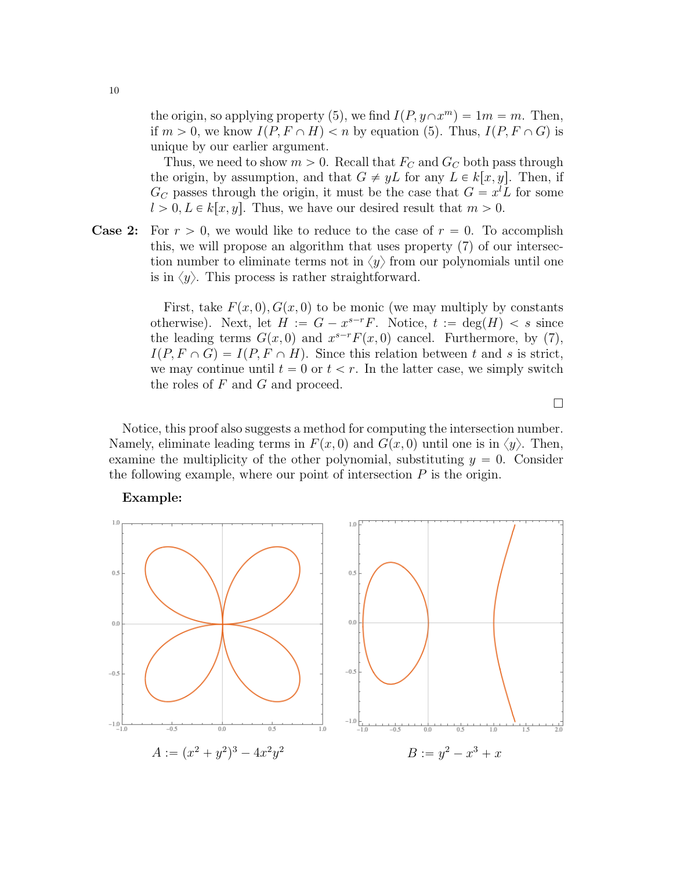the origin, so applying property (5), we find  $I(P, y \cap x^m) = 1m = m$ . Then, if  $m > 0$ , we know  $I(P, F \cap H) < n$  by equation (5). Thus,  $I(P, F \cap G)$  is unique by our earlier argument.

Thus, we need to show  $m > 0$ . Recall that  $F_C$  and  $G_C$  both pass through the origin, by assumption, and that  $G \neq yL$  for any  $L \in k[x, y]$ . Then, if  $G_C$  passes through the origin, it must be the case that  $G = x^l L$  for some  $l > 0, L \in k[x, y]$ . Thus, we have our desired result that  $m > 0$ .

**Case 2:** For  $r > 0$ , we would like to reduce to the case of  $r = 0$ . To accomplish this, we will propose an algorithm that uses property  $(7)$  of our intersection number to eliminate terms not in  $\langle y \rangle$  from our polynomials until one is in  $\langle y \rangle$ . This process is rather straightforward.

> First, take  $F(x, 0), G(x, 0)$  to be monic (we may multiply by constants otherwise). Next, let  $H := G - x^{s-r}F$ . Notice,  $t := deg(H) < s$  since the leading terms  $G(x, 0)$  and  $x^{s-r}F(x, 0)$  cancel. Furthermore, by (7),  $I(P, F \cap G) = I(P, F \cap H)$ . Since this relation between t and s is strict, we may continue until  $t = 0$  or  $t < r$ . In the latter case, we simply switch the roles of  $F$  and  $G$  and proceed.

> > $\Box$

Notice, this proof also suggests a method for computing the intersection number. Namely, eliminate leading terms in  $F(x, 0)$  and  $G(x, 0)$  until one is in  $\langle y \rangle$ . Then, examine the multiplicity of the other polynomial, substituting  $y = 0$ . Consider the following example, where our point of intersection  $P$  is the origin.



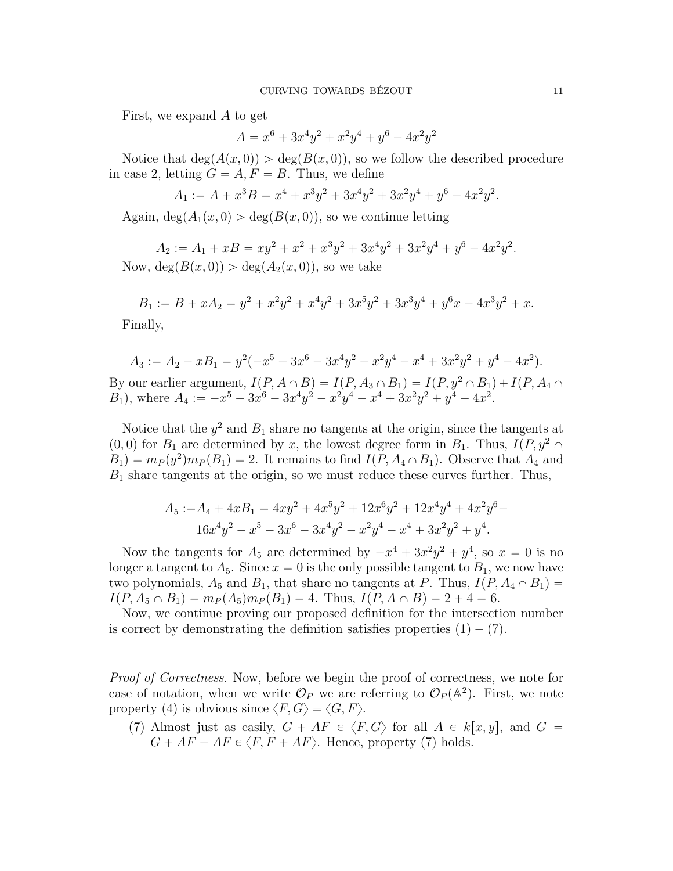First, we expand A to get

$$
A = x^6 + 3x^4y^2 + x^2y^4 + y^6 - 4x^2y^2
$$

Notice that  $\deg(A(x, 0)) > \deg(B(x, 0))$ , so we follow the described procedure in case 2, letting  $G = A, F = B$ . Thus, we define

$$
A_1 := A + x^3 B = x^4 + x^3 y^2 + 3x^4 y^2 + 3x^2 y^4 + y^6 - 4x^2 y^2.
$$

Again,  $\deg(A_1(x, 0) > \deg(B(x, 0))$ , so we continue letting

$$
A_2 := A_1 + xB = xy^2 + x^2 + x^3y^2 + 3x^4y^2 + 3x^2y^4 + y^6 - 4x^2y^2.
$$
  
Now,  $\deg(B(x, 0)) > \deg(A_2(x, 0))$ , so we take

$$
B_1 := B + xA_2 = y^2 + x^2y^2 + x^4y^2 + 3x^5y^2 + 3x^3y^4 + y^6x - 4x^3y^2 + x.
$$

Finally,

$$
A_3 := A_2 - xB_1 = y^2(-x^5 - 3x^6 - 3x^4y^2 - x^2y^4 - x^4 + 3x^2y^2 + y^4 - 4x^2).
$$

By our earlier argument,  $I(P, A \cap B) = I(P, A_3 \cap B_1) = I(P, y^2 \cap B_1) + I(P, A_4 \cap B_2)$  $B_1$ , where  $A_4 := -x^5 - 3x^6 - 3x^4y^2 - x^2y^4 - x^4 + 3x^2y^2 + y^4 - 4x^2$ .

Notice that the  $y^2$  and  $B_1$  share no tangents at the origin, since the tangents at  $p(0, 0)$  for  $B_1$  are determined by x, the lowest degree form in  $B_1$ . Thus,  $I(P, y^2 \cap$  $B_1$ ) =  $m_P(y^2)m_P(B_1) = 2$ . It remains to find  $I(P, A_4 \cap B_1)$ . Observe that  $A_4$  and  $B_1$  share tangents at the origin, so we must reduce these curves further. Thus,

$$
A_5 := A_4 + 4xB_1 = 4xy^2 + 4x^5y^2 + 12x^6y^2 + 12x^4y^4 + 4x^2y^6 - 16x^4y^2 - x^5 - 3x^6 - 3x^4y^2 - x^2y^4 - x^4 + 3x^2y^2 + y^4.
$$

Now the tangents for  $A_5$  are determined by  $-x^4 + 3x^2y^2 + y^4$ , so  $x = 0$  is no longer a tangent to  $A_5$ . Since  $x = 0$  is the only possible tangent to  $B_1$ , we now have two polynomials,  $A_5$  and  $B_1$ , that share no tangents at P. Thus,  $I(P, A_4 \cap B_1)$  =  $I(P, A_5 \cap B_1) = m_P(A_5)m_P(B_1) = 4$ . Thus,  $I(P, A \cap B) = 2 + 4 = 6$ .

Now, we continue proving our proposed definition for the intersection number is correct by demonstrating the definition satisfies properties  $(1) - (7)$ .

*Proof of Correctness.* Now, before we begin the proof of correctness, we note for ease of notation, when we write  $\mathcal{O}_P$  we are referring to  $\mathcal{O}_P(\mathbb{A}^2)$ . First, we note property (4) is obvious since  $\langle F, G \rangle = \langle G, F \rangle$ .

(7) Almost just as easily,  $G + AF \in \langle F, G \rangle$  for all  $A \in k[x, y]$ , and  $G =$  $G + AF - AF \in \langle F, F + AF \rangle$ . Hence, property (7) holds.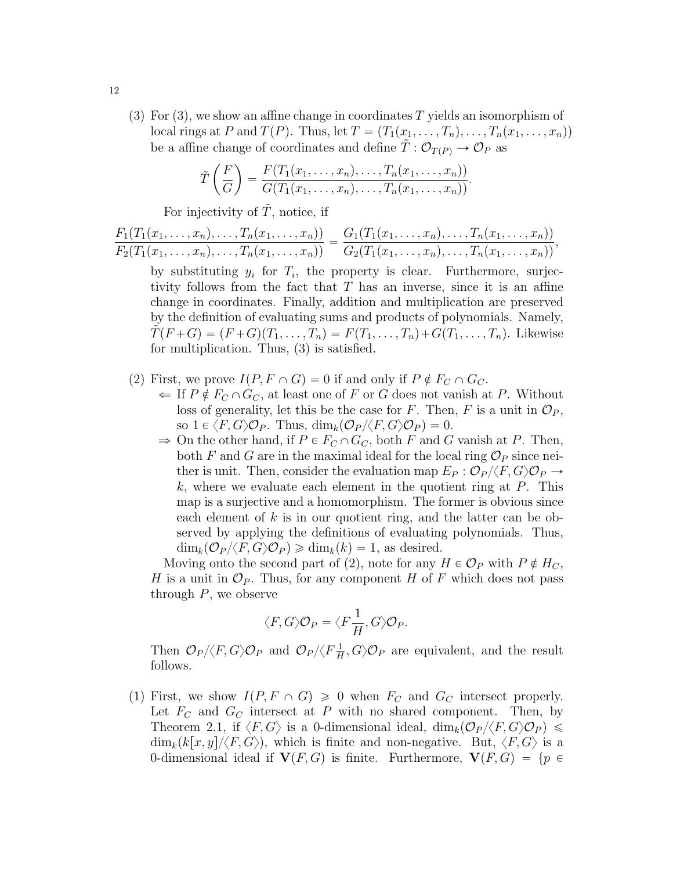(3) For (3), we show an affine change in coordinates T yields an isomorphism of local rings at P and  $T(P)$ . Thus, let  $T = (T_1(x_1, \ldots, T_n), \ldots, T_n(x_1, \ldots, x_n))$ be a affine change of coordinates and define  $\tilde{T}: \mathcal{O}_{T(P)} \to \mathcal{O}_P$  as

$$
\tilde{T}\left(\frac{F}{G}\right) = \frac{F(T_1(x_1,\ldots,x_n),\ldots,T_n(x_1,\ldots,x_n))}{G(T_1(x_1,\ldots,x_n),\ldots,T_n(x_1,\ldots,x_n))}.
$$

For injectivity of  $\tilde{T}$ , notice, if

$$
\frac{F_1(T_1(x_1,\ldots,x_n),\ldots,T_n(x_1,\ldots,x_n))}{F_2(T_1(x_1,\ldots,x_n),\ldots,T_n(x_1,\ldots,x_n))}=\frac{G_1(T_1(x_1,\ldots,x_n),\ldots,T_n(x_1,\ldots,x_n))}{G_2(T_1(x_1,\ldots,x_n),\ldots,T_n(x_1,\ldots,x_n))},
$$

by substituting  $y_i$  for  $T_i$ , the property is clear. Furthermore, surjectivity follows from the fact that  $T$  has an inverse, since it is an affine change in coordinates. Finally, addition and multiplication are preserved by the definition of evaluating sums and products of polynomials. Namely,  $\tilde{T}(F+G) = (F+G)(T_1, \ldots, T_n) = F(T_1, \ldots, T_n) + G(T_1, \ldots, T_n)$ . Likewise for multiplication. Thus,  $(3)$  is satisfied.

- (2) First, we prove  $I(P, F \cap G) = 0$  if and only if  $P \notin F_C \cap G_C$ .
	- $\Leftarrow$  If  $P \notin F_C \cap G_C$ , at least one of F or G does not vanish at P. Without loss of generality, let this be the case for F. Then, F is a unit in  $\mathcal{O}_P$ , so  $1 \in \langle F, G \rangle \mathcal{O}_P$ . Thus,  $\dim_k(\mathcal{O}_P / \langle F, G \rangle \mathcal{O}_P) = 0$ .
	- $\Rightarrow$  On the other hand, if  $P \in F_C \cap G_C$ , both F and G vanish at P. Then, both F and G are in the maximal ideal for the local ring  $\mathcal{O}_P$  since neither is unit. Then, consider the evaluation map  $E_P : \mathcal{O}_P/\langle F, G \rangle \mathcal{O}_P \to$  $k$ , where we evaluate each element in the quotient ring at  $P$ . This map is a surjective and a homomorphism. The former is obvious since each element of  $k$  is in our quotient ring, and the latter can be observed by applying the definitions of evaluating polynomials. Thus,  $\dim_k(\mathcal{O}_P/\langle F,G\rangle \mathcal{O}_P) \geq \dim_k(k) = 1$ , as desired.

Moving onto the second part of (2), note for any  $H \in \mathcal{O}_P$  with  $P \notin H_C$ , H is a unit in  $\mathcal{O}_P$ . Thus, for any component H of F which does not pass through  $P$ , we observe

$$
\langle F, G \rangle \mathcal{O}_P = \langle F\frac{1}{H}, G \rangle \mathcal{O}_P.
$$

Then  $\mathcal{O}_P/\langle F,G\rangle \mathcal{O}_P$  and  $\mathcal{O}_P/\langle F\frac{1}{H}\rangle$  $\frac{1}{H}, G \rangle \mathcal{O}_P$  are equivalent, and the result follows.

(1) First, we show  $I(P, F \cap G) \geq 0$  when  $F_C$  and  $G_C$  intersect properly. Let  $F_C$  and  $G_C$  intersect at P with no shared component. Then, by Theorem 2.1, if  $\langle F, G \rangle$  is a 0-dimensional ideal,  $\dim_k(\mathcal{O}_P/\langle F, G \rangle \mathcal{O}_P) \leq$  $\dim_k(k[x, y]/\langle F, G\rangle)$ , which is finite and non-negative. But,  $\langle F, G\rangle$  is a 0-dimensional ideal if  $V(F, G)$  is finite. Furthermore,  $V(F, G) = \{p \in$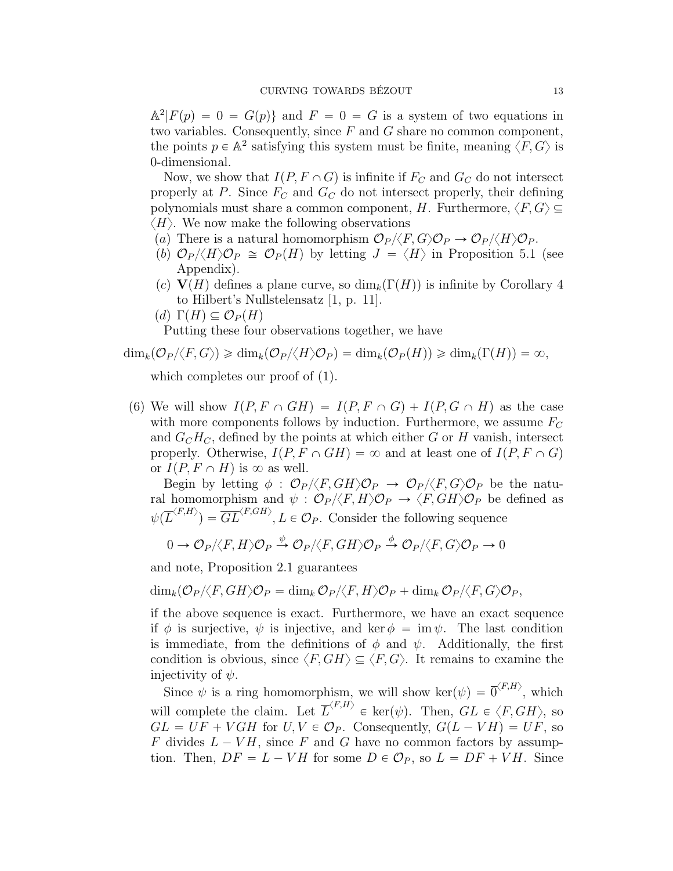$\mathbb{A}^2 | F(p) = 0 = G(p) \}$  and  $F = 0 = G$  is a system of two equations in two variables. Consequently, since  $F$  and  $G$  share no common component, the points  $p \in \mathbb{A}^2$  satisfying this system must be finite, meaning  $\langle F, G \rangle$  is 0-dimensional.

Now, we show that  $I(P, F \cap G)$  is infinite if  $F_C$  and  $G_C$  do not intersect properly at P. Since  $F_C$  and  $G_C$  do not intersect properly, their defining polynomials must share a common component, H. Furthermore,  $\langle F, G \rangle \subseteq$  $\langle H \rangle$ . We now make the following observations

- (a) There is a natural homomorphism  $\mathcal{O}_P \langle F, G \rangle \mathcal{O}_P \to \mathcal{O}_P \langle \langle H \rangle \mathcal{O}_P$ .
- (b)  $\mathcal{O}_P \langle \langle H \rangle \mathcal{O}_P \cong \mathcal{O}_P(H)$  by letting  $J = \langle H \rangle$  in Proposition 5.1 (see Appendix).
- (c)  $V(H)$  defines a plane curve, so  $\dim_k(\Gamma(H))$  is infinite by Corollary 4 to Hilbert's Nullstelensatz [1, p. 11].
- $(d) \Gamma(H) \subseteq \mathcal{O}_P(H)$

Putting these four observations together, we have

$$
\dim_k(\mathcal{O}_P/\langle F,G\rangle) \geq \dim_k(\mathcal{O}_P/\langle H\rangle \mathcal{O}_P) = \dim_k(\mathcal{O}_P(H)) \geq \dim_k(\Gamma(H)) = \infty,
$$

which completes our proof of  $(1)$ .

(6) We will show  $I(P, F \cap GH) = I(P, F \cap G) + I(P, G \cap H)$  as the case with more components follows by induction. Furthermore, we assume  $F_C$ and  $G_C H_C$ , defined by the points at which either G or H vanish, intersect properly. Otherwise,  $I(P, F \cap GH) = \infty$  and at least one of  $I(P, F \cap G)$ or  $I(P, F \cap H)$  is  $\infty$  as well.

Begin by letting  $\phi : \mathcal{O}_P/\langle F, GH \rangle \mathcal{O}_P \rightarrow \mathcal{O}_P/\langle F, G \rangle \mathcal{O}_P$  be the natural homomorphism and  $\psi : \mathcal{O}_P/\langle F, H \rangle \mathcal{O}_P \to \langle F, GH \rangle \mathcal{O}_P$  be defined as  $\psi(\overline{L}^{\langle F,H\rangle})=\overline{GL}^{\langle F, GH\rangle}, L\in\mathcal{O}_P.$  Consider the following sequence

$$
0 \to \mathcal{O}_P/\langle F, H \rangle \mathcal{O}_P \stackrel{\psi}{\to} \mathcal{O}_P/\langle F, GH \rangle \mathcal{O}_P \stackrel{\phi}{\to} \mathcal{O}_P/\langle F, G \rangle \mathcal{O}_P \to 0
$$

and note, Proposition 2.1 guarantees

$$
\dim_k(\mathcal{O}_P/\!\langle F,GH\rangle \mathcal{O}_P = \dim_k\mathcal{O}_P/\!\langle F,H\rangle \mathcal{O}_P + \dim_k\mathcal{O}_P/\!\langle F,G\rangle \mathcal{O}_P,
$$

if the above sequence is exact. Furthermore, we have an exact sequence if  $\phi$  is surjective,  $\psi$  is injective, and ker  $\phi = \text{im } \psi$ . The last condition is immediate, from the definitions of  $\phi$  and  $\psi$ . Additionally, the first condition is obvious, since  $\langle F, GH \rangle \subseteq \langle F, G \rangle$ . It remains to examine the injectivity of  $\psi$ .

Since  $\psi$  is a ring homomorphism, we will show ker $(\psi) = \overline{0}^{\langle F,H \rangle}$ , which will complete the claim. Let  $\overline{L}^{\langle F,H \rangle} \in \text{ker}(\psi)$ . Then,  $GL \in \langle F, GH \rangle$ , so  $GL = UF + VGH$  for  $U, V \in \mathcal{O}_P$ . Consequently,  $G(L - VH) = UF$ , so F divides  $L - VH$ , since F and G have no common factors by assumption. Then,  $DF = L - VH$  for some  $D \in \mathcal{O}_P$ , so  $L = DF + VH$ . Since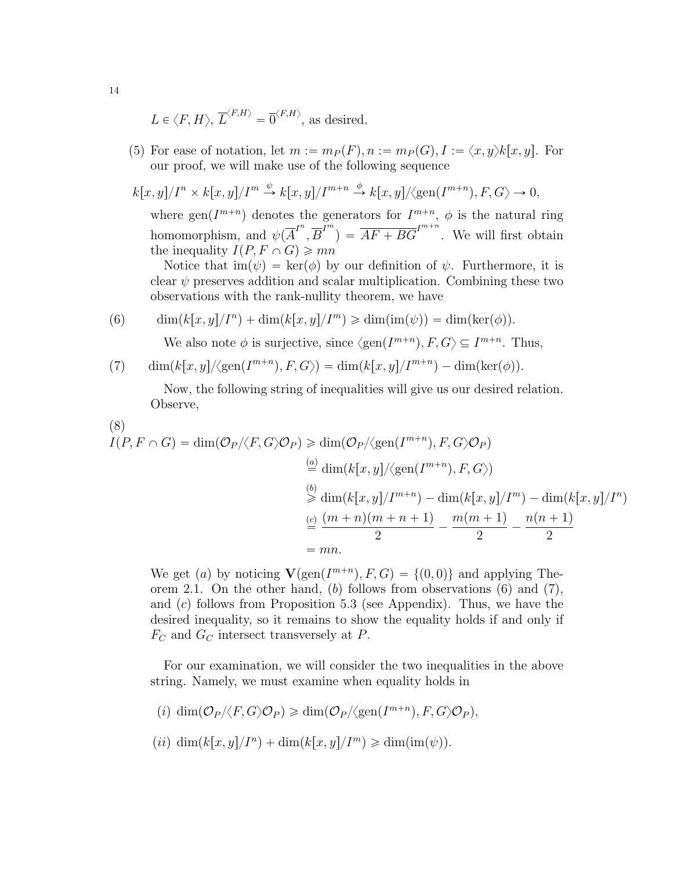$$
L \in \langle F, H \rangle
$$
,  $\overline{L}^{\langle F,H \rangle} = \overline{0}^{\langle F,H \rangle}$ , as desired.

(5) For ease of notation, let  $m := m_P(F)$ ,  $n := m_P(G)$ ,  $I := \langle x, y \rangle k[x, y]$ . For our proof, we will make use of the following sequence

$$
k[x, y]/In \times k[x, y]/Im \xrightarrow{\psi} k[x, y]/Im+n \xrightarrow{\phi} k[x, y]/\langle gen(Im+n), F, G \rangle \to 0,
$$

where  $gen(I^{m+n})$  denotes the generators for  $I^{m+n}$ ,  $\phi$  is the natural ring homomorphism, and  $\psi(\overline{A}^{I^n}, \overline{B}^{I^m}) = \overline{AF + BG}^{I^{m+n}}$ . We will first obtain the inequality  $I(P, F \cap G) \geqslant mn$ 

Notice that  $\text{im}(\psi) = \text{ker}(\phi)$  by our definition of  $\psi$ . Furthermore, it is clear  $\psi$  preserves addition and scalar multiplication. Combining these two observations with the rank-nullity theorem, we have

(6)  $\dim(k[x, y]/I^n) + \dim(k[x, y]/I^m) \ge \dim(\text{im}(\psi)) = \dim(\text{ker}(\phi)).$ 

We also note  $\phi$  is surjective, since  $\langle \text{gen}(I^{m+n}), F, G \rangle \subseteq I^{m+n}$ . Thus,

(7) 
$$
\dim(k[x,y]/\langle \text{gen}(I^{m+n}), F, G \rangle) = \dim(k[x,y]/I^{m+n}) - \dim(\text{ker}(\phi)).
$$

Now, the following string of inequalities will give us our desired relation. Observe,

$$
(8)
$$

$$
I(P, F \cap G) = \dim(\mathcal{O}_P/\langle F, G \rangle \mathcal{O}_P) \ge \dim(\mathcal{O}_P/\langle \text{gen}(I^{m+n}), F, G \rangle \mathcal{O}_P)
$$
  
\n
$$
\stackrel{(a)}{=} \dim(k[x, y]/\langle \text{gen}(I^{m+n}), F, G \rangle)
$$
  
\n
$$
\stackrel{(b)}{>} \dim(k[x, y]/I^{m+n}) - \dim(k[x, y]/I^m) - \dim(k[x, y]/I^n)
$$
  
\n
$$
\stackrel{(c)}{=} \frac{(m+n)(m+n+1)}{2} - \frac{m(m+1)}{2} - \frac{n(n+1)}{2}
$$
  
\n= mn.

We get (a) by noticing  $\mathbf{V}(\text{gen}(I^{m+n}), F, G) = \{(0, 0)\}\$ and applying Theorem 2.1. On the other hand, (b) follows from observations (6) and (7), and  $(c)$  follows from Proposition 5.3 (see Appendix). Thus, we have the desired inequality, so it remains to show the equality holds if and only if  $F_C$  and  $G_C$  intersect transversely at P.

For our examination, we will consider the two inequalities in the above string. Namely, we must examine when equality holds in

- (i)  $\dim(\mathcal{O}_P/\langle F,G\rangle \mathcal{O}_P) \geq \dim(\mathcal{O}_P/\langle \text{gen}(I^{m+n}), F,G\rangle \mathcal{O}_P),$
- $(ii)$  dim $(k[x, y]/I^n) + \dim(k[x, y]/I^m) \ge \dim(\text{im}(\psi)).$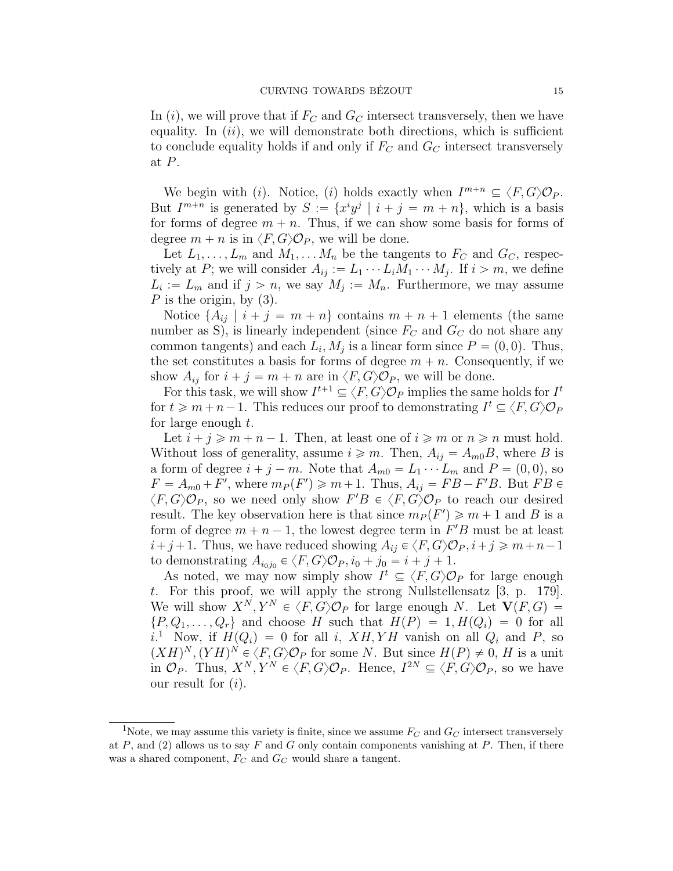In (i), we will prove that if  $F_C$  and  $G_C$  intersect transversely, then we have equality. In  $(ii)$ , we will demonstrate both directions, which is sufficient to conclude equality holds if and only if  $F_C$  and  $G_C$  intersect transversely at P.

We begin with (*i*). Notice, (*i*) holds exactly when  $I^{m+n} \subseteq \langle F, G \rangle \mathcal{O}_P$ . But  $I^{m+n}$  is generated by  $S := \{x^i y^j \mid i + j = m + n\}$ , which is a basis for forms of degree  $m + n$ . Thus, if we can show some basis for forms of degree  $m + n$  is in  $\langle F, G \rangle \mathcal{O}_P$ , we will be done.

Let  $L_1, \ldots, L_m$  and  $M_1, \ldots, M_n$  be the tangents to  $F_C$  and  $G_C$ , respectively at P; we will consider  $A_{ij} := L_1 \cdots L_i M_1 \cdots M_j$ . If  $i > m$ , we define  $L_i := L_m$  and if  $j > n$ , we say  $M_j := M_n$ . Furthermore, we may assume P is the origin, by  $(3)$ .

Notice  $\{A_{ij} | i + j = m + n\}$  contains  $m + n + 1$  elements (the same number as S), is linearly independent (since  $F_C$  and  $G_C$  do not share any common tangents) and each  $L_i$ ,  $M_j$  is a linear form since  $P = (0, 0)$ . Thus, the set constitutes a basis for forms of degree  $m + n$ . Consequently, if we show  $A_{ij}$  for  $i + j = m + n$  are in  $\langle F, G \rangle \mathcal{O}_P$ , we will be done.

For this task, we will show  $I^{t+1} \subseteq \langle F, G \rangle \mathcal{O}_P$  implies the same holds for  $I^t$ for  $t \geq m+n-1$ . This reduces our proof to demonstrating  $I^t \subseteq \langle F, G \rangle \mathcal{O}_F$ for large enough  $t$ .

Let  $i + j \geq m + n - 1$ . Then, at least one of  $i \geq m$  or  $n \geq n$  must hold. Without loss of generality, assume  $i \geq m$ . Then,  $A_{ij} = A_{m0}B$ , where B is a form of degree  $i + j - m$ . Note that  $A_{m0} = L_1 \cdots L_m$  and  $P = (0, 0)$ , so  $F = A_{m0} + F'$ , where  $m_P(F') \geq m+1$ . Thus,  $A_{ij} = FB - F'B$ . But  $FB \in$  $\langle F, G \rangle \mathcal{O}_P$ , so we need only show  $F'B \in \langle F, G \rangle \mathcal{O}_P$  to reach our desired result. The key observation here is that since  $m_P(F') \geq m + 1$  and B is a form of degree  $m + n - 1$ , the lowest degree term in  $F'B$  must be at least  $i+j+1$ . Thus, we have reduced showing  $A_{ij} \in \langle F, G \rangle \mathcal{O}_P, i+j \geq m+n-1$ to demonstrating  $A_{i_0j_0} \in \langle F, G \rangle \mathcal{O}_P, i_0 + j_0 = i + j + 1.$ 

As noted, we may now simply show  $I^t \subseteq \langle F, G \rangle \mathcal{O}_P$  for large enough t. For this proof, we will apply the strong Nullstellensatz [3, p. 179]. We will show  $X^N, Y^N \in \langle F, G \rangle \mathcal{O}_P$  for large enough N. Let  $V(F, G)$  $\{P, Q_1, \ldots, Q_r\}$  and choose H such that  $H(P) = 1, H(Q_i) = 0$  for all  $i^{1}$  Now, if  $H(Q_i) = 0$  for all i,  $XH, YH$  vanish on all  $Q_i$  and P, so  $(XH)^N$ ,  $(YH)^N \in \langle F, G \rangle \mathcal{O}_P$  for some N. But since  $H(P) \neq 0$ , H is a unit in  $\mathcal{O}_P$ . Thus,  $X^N, Y^N \in \langle F, G \rangle \mathcal{O}_P$ . Hence,  $I^{2N} \subseteq \langle F, G \rangle \mathcal{O}_P$ , so we have our result for  $(i)$ .

<sup>&</sup>lt;sup>1</sup>Note, we may assume this variety is finite, since we assume  $F_C$  and  $G_C$  intersect transversely at P, and (2) allows us to say F and G only contain components vanishing at P. Then, if there was a shared component,  $F_C$  and  $G_C$  would share a tangent.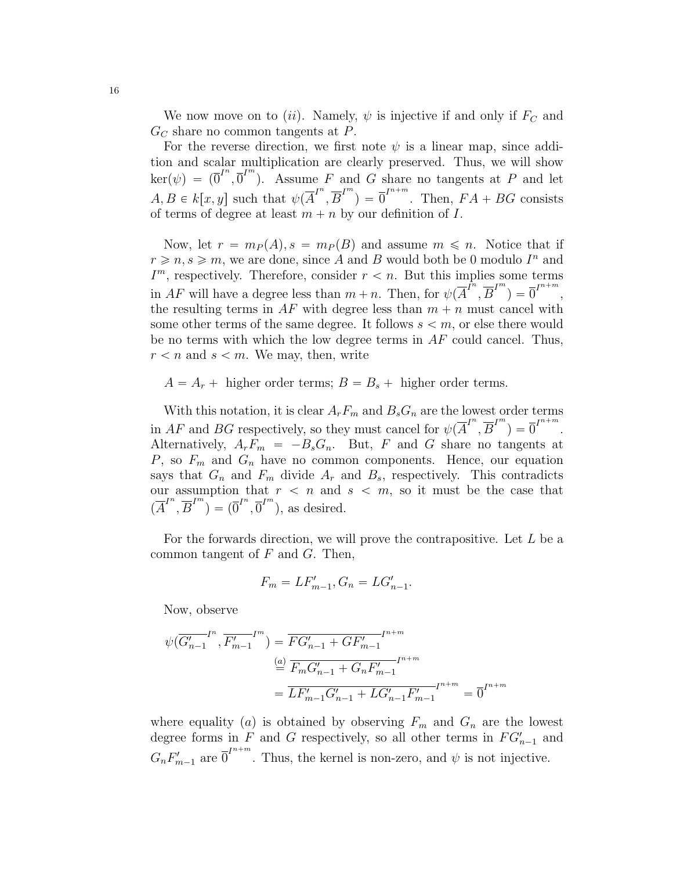We now move on to (*ii*). Namely,  $\psi$  is injective if and only if  $F_C$  and  $G_C$  share no common tangents at P.

For the reverse direction, we first note  $\psi$  is a linear map, since addition and scalar multiplication are clearly preserved. Thus, we will show  $\ker(\psi) = (\overline{0}^{I^n}, \overline{0}^{I^m})$ . Assume F and G share no tangents at P and let  $A, B \in k[x, y]$  such that  $\psi(\overline{A}^{I^n}, \overline{B}^{I^m}) = \overline{0}^{I^{n+m}}$ . Then,  $FA + BG$  consists of terms of degree at least  $m + n$  by our definition of I.

Now, let  $r = m_P(A), s = m_P(B)$  and assume  $m \leq n$ . Notice that if  $r \geqslant n, s \geqslant m$ , we are done, since A and B would both be 0 modulo  $I<sup>n</sup>$  and  $I<sup>m</sup>$ , respectively. Therefore, consider  $r < n$ . But this implies some terms in AF will have a degree less than  $m + n$ . Then, for  $\psi(\overline{A}^{\overline{I}^n}, \overline{B}^{\overline{I}^m}) = \overline{0}^{\overline{I}^{n+m}}$ , the resulting terms in  $AF$  with degree less than  $m + n$  must cancel with some other terms of the same degree. It follows  $s < m$ , or else there would be no terms with which the low degree terms in  $AF$  could cancel. Thus,  $r < n$  and  $s < m$ . We may, then, write

 $A = A_r +$  higher order terms;  $B = B_s +$  higher order terms.

With this notation, it is clear  $A_rF_m$  and  $B_sG_n$  are the lowest order terms in AF and BG respectively, so they must cancel for  $\psi(\overline{A}^{I^{n}}, \overline{B}^{I^{m}}) = \overline{0}^{I^{n+m}}$ . Alternatively,  $A_rF_m = -B_sG_n$ . But, F and G share no tangents at  $P$ , so  $F_m$  and  $G_n$  have no common components. Hence, our equation says that  $G_n$  and  $F_m$  divide  $A_r$  and  $B_s$ , respectively. This contradicts our assumption that  $r < n$  and  $s < m$ , so it must be the case that  $(\overline{A}^{I^n}, \overline{B}^{I^m})^{\bullet} = (\overline{0}^{I^n}, \overline{0}^{I^m})$ , as desired.

For the forwards direction, we will prove the contrapositive. Let  $L$  be a common tangent of  $F$  and  $G$ . Then,

$$
F_m = LF'_{m-1}, G_n = LG'_{n-1}.
$$

Now, observe

$$
\psi(\overline{G'_{n-1}}^{I^n}, \overline{F'_{m-1}}^{I^m}) = \overline{FG'_{n-1} + GF'_{m-1}}^{I^{n+m}}
$$

$$
\stackrel{(a)}{=} \overline{F_m G'_{n-1} + G_n F'_{m-1}}^{I^{n+m}}
$$

$$
= \overline{LF'_{m-1} G'_{n-1} + LG'_{n-1} F'_{m-1}}^{I^{n+m}}
$$

$$
= \overline{0}^{I^{n+m}}
$$

where equality (a) is obtained by observing  $F_m$  and  $G_n$  are the lowest degree forms in  $F$  and  $G$  respectively, so all other terms in  $FG'_{n-1}$  and  $G_n F'_{m-1}$  are  $\overline{0}^{I^{n+m}}$ . Thus, the kernel is non-zero, and  $\psi$  is not injective.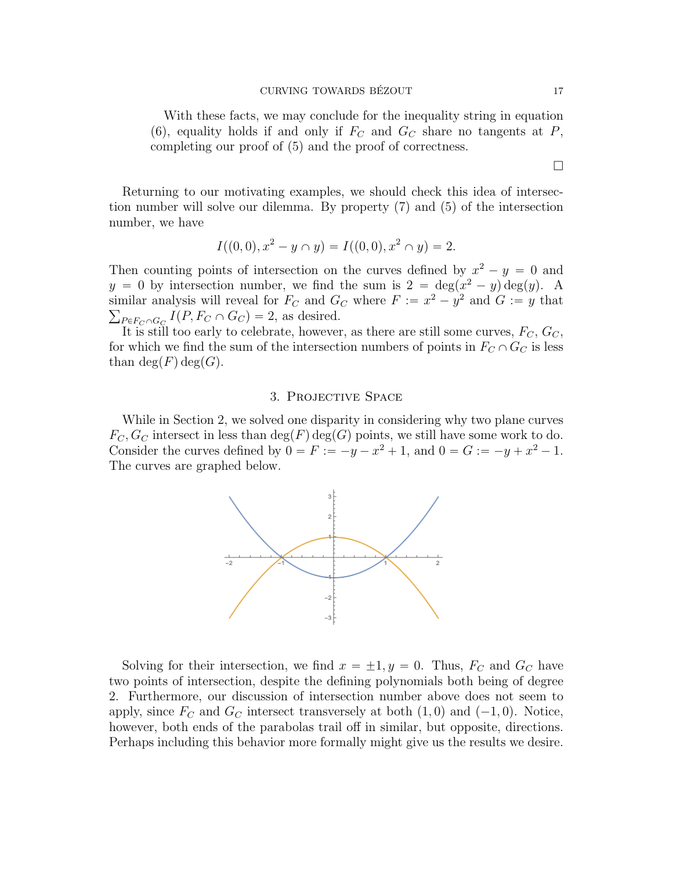#### CURVING TOWARDS BÉZOUT 17

With these facts, we may conclude for the inequality string in equation (6), equality holds if and only if  $F_C$  and  $G_C$  share no tangents at P, completing our proof of  $(5)$  and the proof of correctness.

Returning to our motivating examples, we should check this idea of intersection number will solve our dilemma. By property  $(7)$  and  $(5)$  of the intersection number, we have

$$
I((0,0),x^2-y\cap y)=I((0,0),x^2\cap y)=2.
$$

Then counting points of intersection on the curves defined by  $x^2 - y = 0$  and  $y = 0$  by intersection number, we find the sum is  $2 = \deg(x^2 - y) \deg(y)$ . A similar analysis will reveal for  $F_C$  and  $G_C$  where  $F := x^2 - y^2$  and  $G := y$  that  $_{P\in F_C\cap G_C} I(P, F_C \cap G_C) = 2$ , as desired.

It is still too early to celebrate, however, as there are still some curves,  $F_C$ ,  $G_C$ , for which we find the sum of the intersection numbers of points in  $F_C \cap G_C$  is less than  $deg(F)deg(G)$ .

#### 3. Projective Space

While in Section 2, we solved one disparity in considering why two plane curves  $F_C, G_C$  intersect in less than  $deg(F)deg(G)$  points, we still have some work to do. Consider the curves defined by  $0 = F := -y - x^2 + 1$ , and  $0 = G := -y + x^2 - 1$ . The curves are graphed below.



Solving for their intersection, we find  $x = \pm 1, y = 0$ . Thus,  $F_C$  and  $G_C$  have two points of intersection, despite the defining polynomials both being of degree 2. Furthermore, our discussion of intersection number above does not seem to apply, since  $F_C$  and  $G_C$  intersect transversely at both  $(1, 0)$  and  $(-1, 0)$ . Notice, however, both ends of the parabolas trail off in similar, but opposite, directions. Perhaps including this behavior more formally might give us the results we desire.

 $\Box$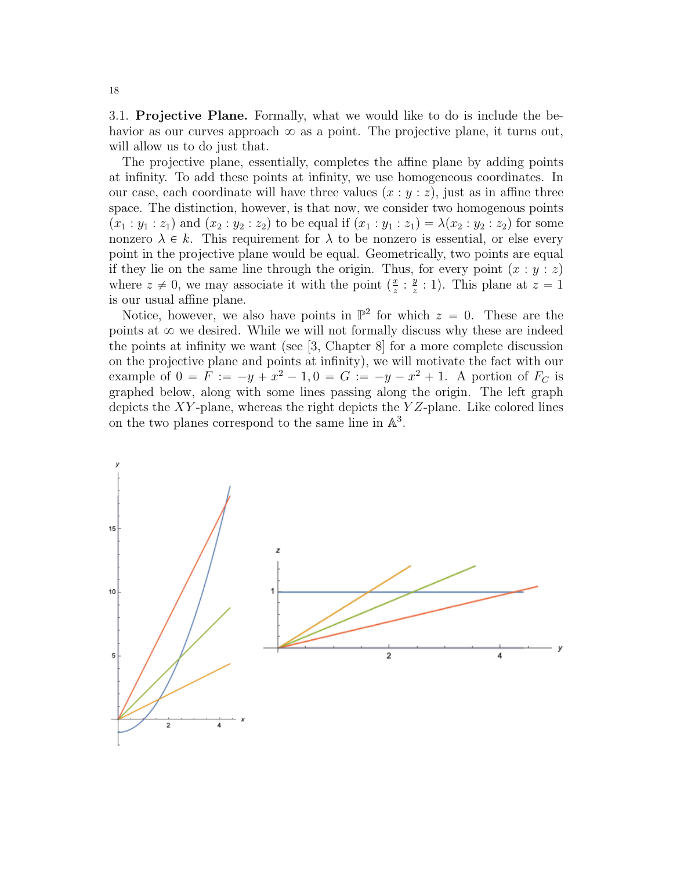3.1. Projective Plane. Formally, what we would like to do is include the behavior as our curves approach  $\infty$  as a point. The projective plane, it turns out, will allow us to do just that.

The projective plane, essentially, completes the affine plane by adding points at infinity. To add these points at infinity, we use homogeneous coordinates. In our case, each coordinate will have three values  $(x : y : z)$ , just as in affine three space. The distinction, however, is that now, we consider two homogenous points  $p(x_1 : y_1 : z_1)$  and  $(x_2 : y_2 : z_2)$  to be equal if  $(x_1 : y_1 : z_1) = \lambda(x_2 : y_2 : z_2)$  for some nonzero  $\lambda \in k$ . This requirement for  $\lambda$  to be nonzero is essential, or else every point in the projective plane would be equal. Geometrically, two points are equal if they lie on the same line through the origin. Thus, for every point  $(x : y : z)$ where  $z \neq 0$ , we may associate it with the point  $\left(\frac{x}{z}\right)$  $\frac{x}{z}$  :  $\frac{y}{z}$  $\frac{y}{z}$  : 1). This plane at  $z = 1$ is our usual affine plane.

Notice, however, we also have points in  $\mathbb{P}^2$  for which  $z = 0$ . These are the points at  $\infty$  we desired. While we will not formally discuss why these are indeed the points at infinity we want (see [3, Chapter 8] for a more complete discussion on the projective plane and points at infinity), we will motivate the fact with our example of  $0 = F := -y + x^2 - 1, 0 = G := -y - x^2 + 1$ . A portion of  $F_C$  is graphed below, along with some lines passing along the origin. The left graph depicts the XY-plane, whereas the right depicts the  $YZ$ -plane. Like colored lines on the two planes correspond to the same line in  $\mathbb{A}^3$ .

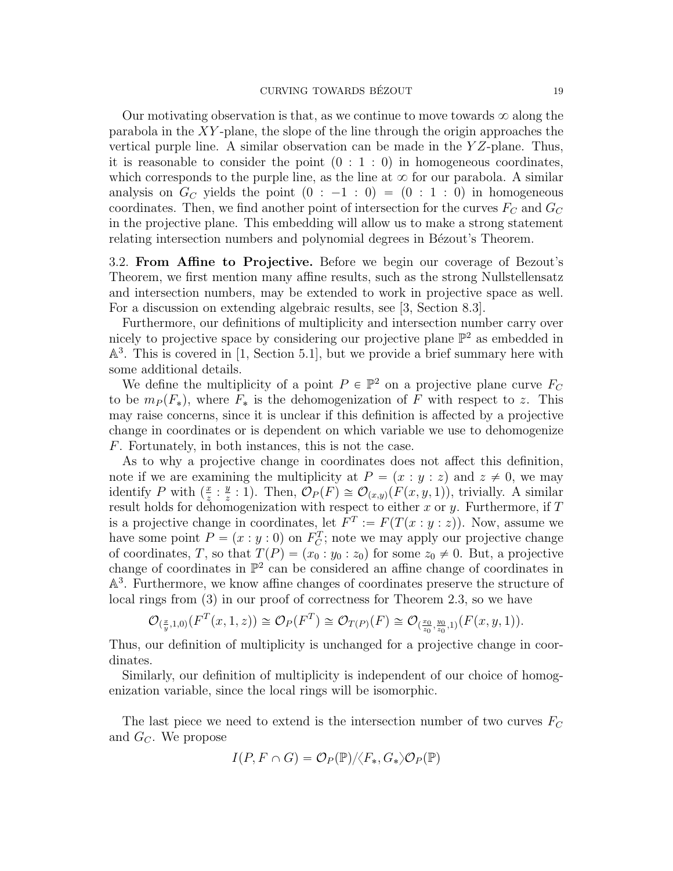Our motivating observation is that, as we continue to move towards  $\infty$  along the parabola in the  $XY$ -plane, the slope of the line through the origin approaches the vertical purple line. A similar observation can be made in the  $YZ$ -plane. Thus, it is reasonable to consider the point  $(0 : 1 : 0)$  in homogeneous coordinates, which corresponds to the purple line, as the line at  $\infty$  for our parabola. A similar analysis on  $G_C$  yields the point  $(0 : -1 : 0) = (0 : 1 : 0)$  in homogeneous coordinates. Then, we find another point of intersection for the curves  $F_C$  and  $G_C$ in the projective plane. This embedding will allow us to make a strong statement relating intersection numbers and polynomial degrees in Bézout's Theorem.

3.2. From Affine to Projective. Before we begin our coverage of Bezout's Theorem, we first mention many affine results, such as the strong Nullstellensatz and intersection numbers, may be extended to work in projective space as well. For a discussion on extending algebraic results, see [3, Section 8.3].

Furthermore, our definitions of multiplicity and intersection number carry over nicely to projective space by considering our projective plane  $\mathbb{P}^2$  as embedded in A 3 . This is covered in [1, Section 5.1], but we provide a brief summary here with some additional details.

We define the multiplicity of a point  $P \in \mathbb{P}^2$  on a projective plane curve  $F_C$ to be  $m_P(F_*)$ , where  $F_*$  is the dehomogenization of F with respect to z. This may raise concerns, since it is unclear if this definition is affected by a projective change in coordinates or is dependent on which variable we use to dehomogenize F. Fortunately, in both instances, this is not the case.

As to why a projective change in coordinates does not affect this definition, note if we are examining the multiplicity at  $P = (x : y : z)$  and  $z \neq 0$ , we may identify P with  $\left(\frac{x}{z}\right)$  $\frac{x}{z}$  :  $\frac{y}{z}$  $\mathcal{L}_z^y$  : 1). Then,  $\mathcal{O}_P(F) \cong \mathcal{O}_{(x,y)}(F(x,y, 1)),$  trivially. A similar result holds for dehomogenization with respect to either x or y. Furthermore, if  $T$ is a projective change in coordinates, let  $F^T := F(T(x : y : z))$ . Now, assume we have some point  $P = (x : y : 0)$  on  $F_C^T$ ; note we may apply our projective change of coordinates, T, so that  $T(P) = (x_0 : y_0 : z_0)$  for some  $z_0 \neq 0$ . But, a projective change of coordinates in  $\mathbb{P}^2$  can be considered an affine change of coordinates in A 3 . Furthermore, we know affine changes of coordinates preserve the structure of local rings from  $(3)$  in our proof of correctness for Theorem 2.3, so we have

$$
\mathcal{O}_{(\frac{x}{y},1,0)}(F^T(x,1,z)) \cong \mathcal{O}_P(F^T) \cong \mathcal{O}_{T(P)}(F) \cong \mathcal{O}_{(\frac{x_0}{z_0},\frac{y_0}{z_0},1)}(F(x,y,1)).
$$

Thus, our definition of multiplicity is unchanged for a projective change in coordinates.

Similarly, our definition of multiplicity is independent of our choice of homogenization variable, since the local rings will be isomorphic.

The last piece we need to extend is the intersection number of two curves  $F_C$ and  $G_C$ . We propose

$$
I(P, F \cap G) = \mathcal{O}_P(\mathbb{P}) / \langle F_*, G_* \rangle \mathcal{O}_P(\mathbb{P})
$$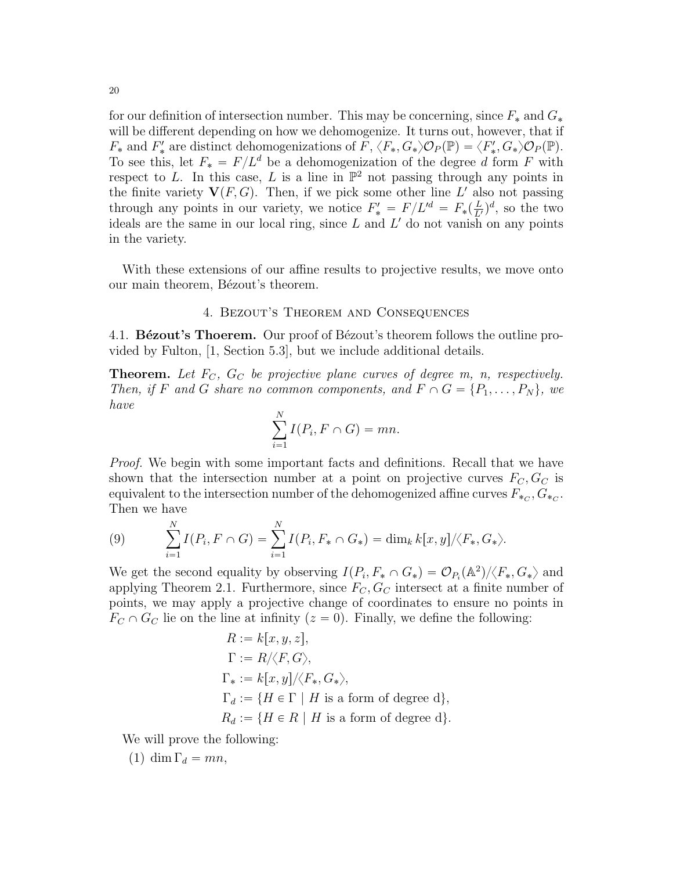for our definition of intersection number. This may be concerning, since  $F_*$  and  $G_*$ will be different depending on how we dehomogenize. It turns out, however, that if  $F_*$  and  $F'_*$  are distinct dehomogenizations of  $\tilde{F}, \langle F_*, G_* \rangle \mathcal{O}_P(\mathbb{P}) = \langle F'_*, G_* \rangle \mathcal{O}_P(\mathbb{P})$ . To see this, let  $F_* = F/L^d$  be a dehomogenization of the degree d form F with respect to L. In this case, L is a line in  $\mathbb{P}^2$  not passing through any points in the finite variety  $V(F, G)$ . Then, if we pick some other line L' also not passing through any points in our variety, we notice  $F'_{*} = F/L'^{d} = F_{*}(\frac{L}{L'})^{d}$ , so the two ideals are the same in our local ring, since  $L$  and  $L'$  do not vanish on any points in the variety.

With these extensions of our affine results to projective results, we move onto our main theorem, Bézout's theorem.

#### 4. Bezout's Theorem and Consequences

4.1. **Bézout's Thoerem.** Our proof of Bézout's theorem follows the outline provided by Fulton, [1, Section 5.3], but we include additional details.

**Theorem.** Let  $F_C$ ,  $G_C$  be projective plane curves of degree m, n, respectively. Then, if F and G share no common components, and  $F \cap G = \{P_1, \ldots, P_N\}$ , we have

$$
\sum_{i=1}^{N} I(P_i, F \cap G) = mn.
$$

Proof. We begin with some important facts and definitions. Recall that we have shown that the intersection number at a point on projective curves  $F_C, G_C$  is equivalent to the intersection number of the dehomogenized affine curves  $F_{*_C}, G_{*_C}.$ Then we have

(9) 
$$
\sum_{i=1}^{N} I(P_i, F \cap G) = \sum_{i=1}^{N} I(P_i, F_* \cap G_*) = \dim_k k[x, y] / \langle F_*, G_* \rangle.
$$

We get the second equality by observing  $I(P_i, F_* \cap G_*) = \mathcal{O}_{P_i}(\mathbb{A}^2)/\langle F_*, G_* \rangle$  and applying Theorem 2.1. Furthermore, since  $F_C, G_C$  intersect at a finite number of points, we may apply a projective change of coordinates to ensure no points in  $F_C \cap G_C$  lie on the line at infinity  $(z = 0)$ . Finally, we define the following:

$$
R := k[x, y, z],
$$
  
\n
$$
\Gamma := R/\langle F, G \rangle,
$$
  
\n
$$
\Gamma_* := k[x, y]/\langle F_*, G_* \rangle,
$$
  
\n
$$
\Gamma_d := \{ H \in \Gamma \mid H \text{ is a form of degree d} \},
$$
  
\n
$$
R_d := \{ H \in R \mid H \text{ is a form of degree d} \}.
$$

We will prove the following:

 $(1)$  dim  $\Gamma_d = mn$ ,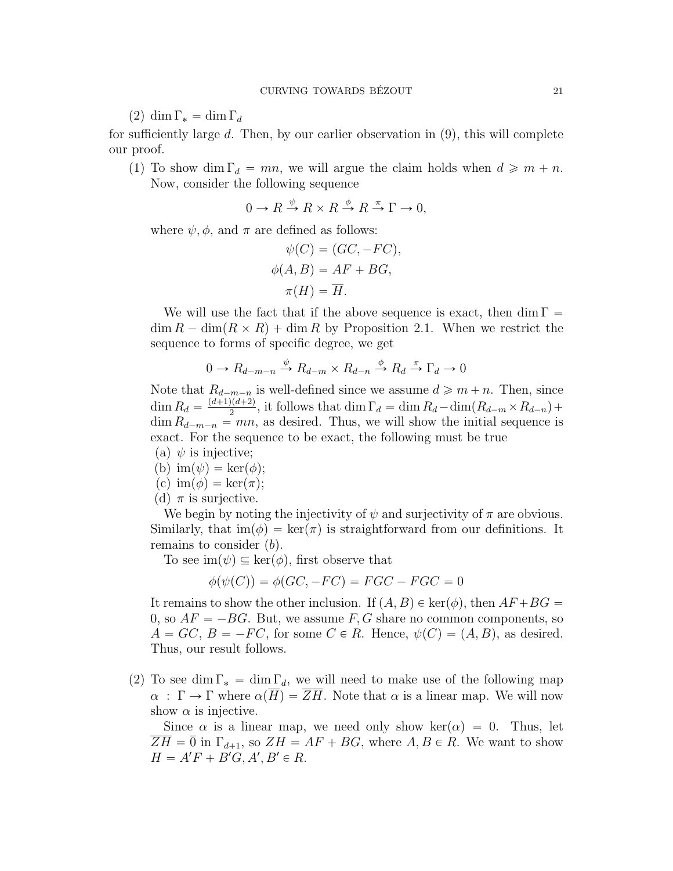(2) dim  $\Gamma_* = \dim \Gamma_d$ 

for sufficiently large d. Then, by our earlier observation in  $(9)$ , this will complete our proof.

(1) To show dim  $\Gamma_d = mn$ , we will argue the claim holds when  $d \geq m + n$ . Now, consider the following sequence

$$
0 \to R \xrightarrow{\psi} R \times R \xrightarrow{\phi} R \xrightarrow{\pi} \Gamma \to 0,
$$

where  $\psi$ ,  $\phi$ , and  $\pi$  are defined as follows:

$$
\psi(C) = (GC, -FC),
$$
  
\n
$$
\phi(A, B) = AF + BG,
$$
  
\n
$$
\pi(H) = \overline{H}.
$$

We will use the fact that if the above sequence is exact, then dim  $\Gamma =$  $\dim R - \dim(R \times R) + \dim R$  by Proposition 2.1. When we restrict the sequence to forms of specific degree, we get

$$
0 \to R_{d-m-n} \xrightarrow{\psi} R_{d-m} \times R_{d-n} \xrightarrow{\phi} R_d \xrightarrow{\pi} \Gamma_d \to 0
$$

Note that  $R_{d-m-n}$  is well-defined since we assume  $d \geq m + n$ . Then, since dim  $R_d = \frac{(d+1)(d+2)}{2}$  $\frac{2(1a+2)}{2}$ , it follows that dim  $\Gamma_d = \dim R_d - \dim(R_{d-m} \times R_{d-n}) +$  $\dim R_{d-m-n} = mn$ , as desired. Thus, we will show the initial sequence is exact. For the sequence to be exact, the following must be true

(a) 
$$
\psi
$$
 is injective;

- (b)  $\text{im}(\psi) = \text{ker}(\phi);$
- (c)  $\text{im}(\phi) = \text{ker}(\pi);$
- (d)  $\pi$  is surjective.

We begin by noting the injectivity of  $\psi$  and surjectivity of  $\pi$  are obvious. Similarly, that  $\text{im}(\phi) = \text{ker}(\pi)$  is straightforward from our definitions. It remains to consider  $(b)$ .

To see  $\text{im}(\psi) \subseteq \text{ker}(\phi)$ , first observe that

 $\phi(\psi(C)) = \phi(GC, -FC) = FGC - FGC = 0$ 

It remains to show the other inclusion. If  $(A, B) \in \text{ker}(\phi)$ , then  $AF + BG =$ 0, so  $AF = -BG$ . But, we assume F, G share no common components, so  $A = GC, B = -FC$ , for some  $C \in R$ . Hence,  $\psi(C) = (A, B)$ , as desired. Thus, our result follows.

(2) To see dim  $\Gamma_* = \dim \Gamma_d$ , we will need to make use of the following map  $\alpha : \Gamma \to \Gamma$  where  $\alpha(\overline{H}) = \overline{ZH}$ . Note that  $\alpha$  is a linear map. We will now show  $\alpha$  is injective.

Since  $\alpha$  is a linear map, we need only show ker $(\alpha) = 0$ . Thus, let  $\overline{ZH} = \overline{0}$  in  $\Gamma_{d+1}$ , so  $ZH = AF + BG$ , where  $A, B \in R$ . We want to show  $H = A'F + B'G, A', B' \in R.$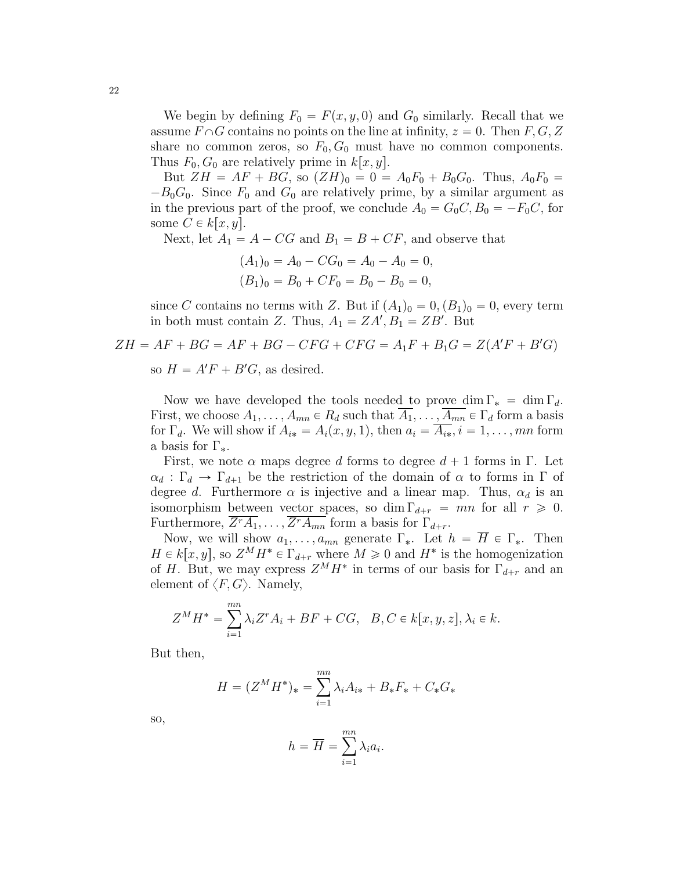We begin by defining  $F_0 = F(x, y, 0)$  and  $G_0$  similarly. Recall that we assume  $F \cap G$  contains no points on the line at infinity,  $z = 0$ . Then  $F, G, Z$ share no common zeros, so  $F_0, G_0$  must have no common components. Thus  $F_0, G_0$  are relatively prime in  $k[x, y]$ .

But  $ZH = AF + BG$ , so  $(ZH)_0 = 0 = A_0F_0 + B_0G_0$ . Thus,  $A_0F_0 =$  $-B_0G_0$ . Since  $F_0$  and  $G_0$  are relatively prime, by a similar argument as in the previous part of the proof, we conclude  $A_0 = G_0 C, B_0 = -F_0 C$ , for some  $C \in k[x, y]$ .

Next, let  $A_1 = A - CG$  and  $B_1 = B + CF$ , and observe that

$$
(A1)0 = A0 - CG0 = A0 - A0 = 0,(B1)0 = B0 + CF0 = B0 - B0 = 0,
$$

since C contains no terms with Z. But if  $(A_1)_0 = 0$ ,  $(B_1)_0 = 0$ , every term in both must contain Z. Thus,  $A_1 = ZA', B_1 = ZB'$ . But

$$
ZH = AF + BG = AF + BG - CFG + CFG = A_1F + B_1G = Z(A'F + B'G)
$$

so  $H = A'F + B'G$ , as desired.

Now we have developed the tools needed to prove dim  $\Gamma_* = \dim \Gamma_d$ . First, we choose  $A_1, \ldots, A_{mn} \in R_d$  such that  $A_1, \ldots, A_{mn} \in \Gamma_d$  form a basis for  $\Gamma_d$ . We will show if  $A_{i*} = A_i(x, y, 1)$ , then  $a_i = \overline{A_{i*}}$ ,  $i = 1, \ldots, mn$  form a basis for  $\Gamma_*$ .

First, we note  $\alpha$  maps degree d forms to degree  $d + 1$  forms in Γ. Let  $\alpha_d : \Gamma_d \to \Gamma_{d+1}$  be the restriction of the domain of  $\alpha$  to forms in Γ of degree d. Furthermore  $\alpha$  is injective and a linear map. Thus,  $\alpha_d$  is an isomorphism between vector spaces, so dim  $\Gamma_{d+r} = mn$  for all  $r \ge 0$ . Furthermore,  $\overline{Z^rA_1}, \ldots, \overline{Z^rA_{mn}}$  form a basis for  $\Gamma_{d+r}$ .

Now, we will show  $a_1, \ldots, a_{mn}$  generate  $\Gamma_*$ . Let  $h = \overline{H} \in \Gamma_*$ . Then  $H \in k[x, y]$ , so  $Z^M H^* \in \Gamma_{d+r}$  where  $M \geq 0$  and  $H^*$  is the homogenization of H. But, we may express  $Z^M H^*$  in terms of our basis for  $\Gamma_{d+r}$  and an element of  $\langle F, G \rangle$ . Namely,

$$
Z^{M}H^{*} = \sum_{i=1}^{mn} \lambda_{i} Z^{r} A_{i} + BF + CG, \quad B, C \in k[x, y, z], \lambda_{i} \in k.
$$

But then,

$$
H = (Z^{M}H^{*})_{*} = \sum_{i=1}^{mn} \lambda_{i}A_{i*} + B_{*}F_{*} + C_{*}G_{*}
$$

so,

$$
h = \overline{H} = \sum_{i=1}^{mn} \lambda_i a_i.
$$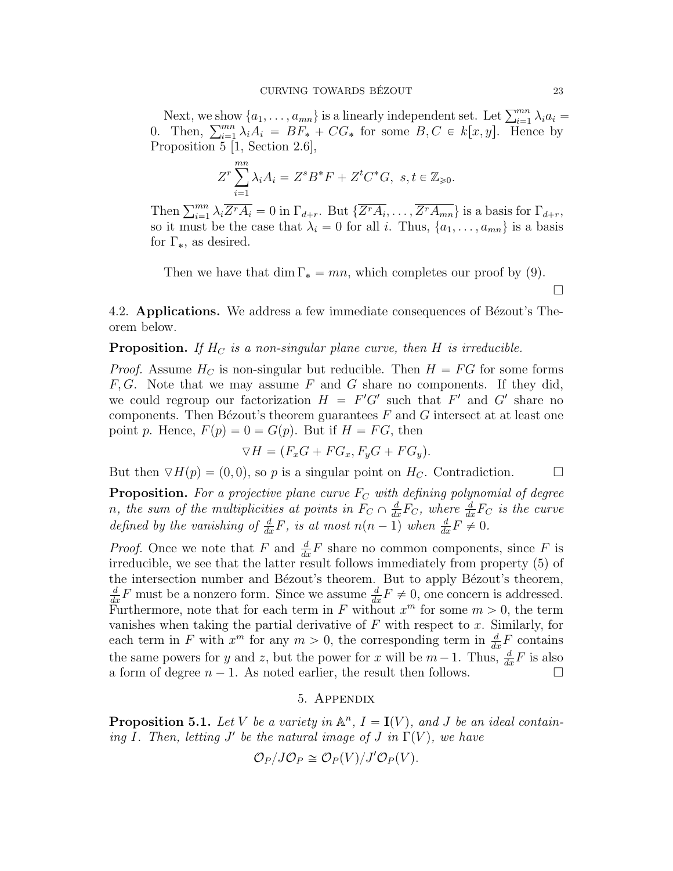Next, we show  $\{a_1, \ldots, a_{mn}\}\$ is a linearly independent set. Let  $\sum_{i=1}^{mn} \lambda_i a_i =$ Next, we show  $\{a_1, \ldots, a_{mn}\}$  is a linearly independent set. Let  $\sum_{i=1}^{mn} \lambda_i a_i = 0$ . Then,  $\sum_{i=1}^{mn} \lambda_i A_i = BF_* + CG_*$  for some  $B, C \in k[x, y]$ . Hence by Proposition 5 [1, Section 2.6],

$$
Z^{r} \sum_{i=1}^{mn} \lambda_{i} A_{i} = Z^{s} B^{*} F + Z^{t} C^{*} G, \ s, t \in \mathbb{Z}_{\geq 0}.
$$

Then  $\sum_{i=1}^{mn} \lambda_i \overline{Z^r A_i} = 0$  in  $\Gamma_{d+r}$ . But  $\{\overline{Z^r A_i}, \ldots, \overline{Z^r A_{mn}}\}$  is a basis for  $\Gamma_{d+r}$ , so it must be the case that  $\lambda_i = 0$  for all i. Thus,  $\{a_1, \ldots, a_{mn}\}$  is a basis for  $\Gamma_{*}$ , as desired.

Then we have that dim  $\Gamma_* = mn$ , which completes our proof by (9).

4.2. Applications. We address a few immediate consequences of Bézout's Theorem below.

**Proposition.** If  $H_C$  is a non-singular plane curve, then H is irreducible.

*Proof.* Assume  $H_C$  is non-singular but reducible. Then  $H = FG$  for some forms  $F, G$ . Note that we may assume F and G share no components. If they did, we could regroup our factorization  $H = F'G'$  such that  $F'$  and  $G'$  share no components. Then Bézout's theorem guarantees  $F$  and  $G$  intersect at at least one point p. Hence,  $F(p) = 0 = G(p)$ . But if  $H = FG$ , then

$$
\nabla H = (F_x G + F G_x, F_y G + F G_y).
$$

But then  $\nabla H(p) = (0, 0)$ , so p is a singular point on  $H_C$ . Contradiction.

**Proposition.** For a projective plane curve  $F_C$  with defining polynomial of degree n, the sum of the multiplicities at points in  $F_C \cap \frac{d}{dx}F_C$ , where  $\frac{d}{dx}F_C$  is the curve defined by the vanishing of  $\frac{d}{dx}F$ , is at most  $n(n-1)$  when  $\frac{d}{dx}F \neq 0$ .

*Proof.* Once we note that F and  $\frac{d}{dx}F$  share no common components, since F is irreducible, we see that the latter result follows immediately from property  $(5)$  of the intersection number and Bézout's theorem. But to apply Bézout's theorem,  $\frac{d}{dx}F$  must be a nonzero form. Since we assume  $\frac{d}{dx}F \neq 0$ , one concern is addressed. Furthermore, note that for each term in F without  $x^m$  for some  $m > 0$ , the term vanishes when taking the partial derivative of  $F$  with respect to  $x$ . Similarly, for each term in F with  $x^m$  for any  $m > 0$ , the corresponding term in  $\frac{d}{dx}F$  contains the same powers for y and z, but the power for x will be  $m - 1$ . Thus,  $\frac{d}{dx}F$  is also a form of degree  $n - 1$ . As noted earlier, the result then follows.

#### 5. Appendix

**Proposition 5.1.** Let V be a variety in  $\mathbb{A}^n$ ,  $I = I(V)$ , and J be an ideal containing I. Then, letting  $J'$  be the natural image of  $J$  in  $\Gamma(V)$ , we have

$$
\mathcal{O}_P/J\mathcal{O}_P\cong \mathcal{O}_P(V)/J'\mathcal{O}_P(V).
$$

 $\Box$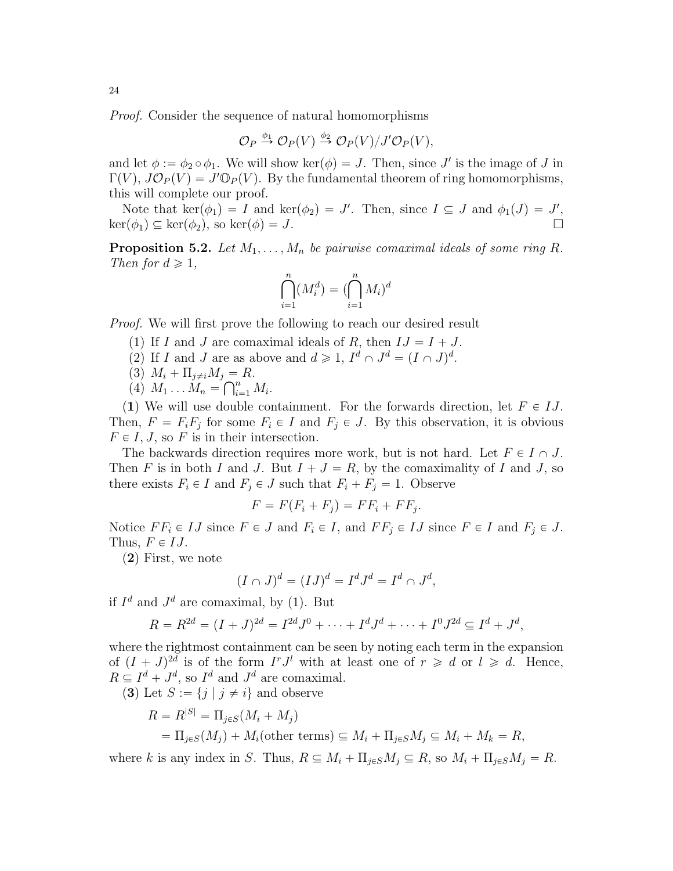Proof. Consider the sequence of natural homomorphisms

$$
\mathcal{O}_P \stackrel{\phi_1}{\to} \mathcal{O}_P(V) \stackrel{\phi_2}{\to} \mathcal{O}_P(V)/J'\mathcal{O}_P(V),
$$

and let  $\phi := \phi_2 \circ \phi_1$ . We will show ker $(\phi) = J$ . Then, since J' is the image of J in  $\Gamma(V)$ ,  $J\mathcal{O}_P(V) = J'\mathbb{O}_P(V)$ . By the fundamental theorem of ring homomorphisms, this will complete our proof.

Note that  $\ker(\phi_1) = I$  and  $\ker(\phi_2) = J'$ . Then, since  $I \subseteq J$  and  $\phi_1(J) = J'$ ,  $\ker(\phi_1) \subseteq \ker(\phi_2)$ , so  $\ker(\phi) = J$ .

**Proposition 5.2.** Let  $M_1, \ldots, M_n$  be pairwise comaximal ideals of some ring R. Then for  $d \geq 1$ ,

$$
\bigcap_{i=1}^{n} (M_i^d) = \bigcap_{i=1}^{n} M_i \big)^d
$$

Proof. We will first prove the following to reach our desired result

- (1) If I and J are comaximal ideals of R, then  $IJ = I + J$ .
- (2) If I and J are as above and  $d \geq 1$ ,  $I^d \cap J^d = (I \cap J)^d$ .
- (3)  $M_i + \Pi_{j \neq i} M_j = R$ .
- (4)  $M_1 \ldots M_n = \bigcap_{i=1}^n M_i$ .

(1) We will use double containment. For the forwards direction, let  $F \in IJ$ . Then,  $F = F_i F_j$  for some  $F_i \in I$  and  $F_j \in J$ . By this observation, it is obvious  $F \in I, J$ , so F is in their intersection.

The backwards direction requires more work, but is not hard. Let  $F \in I \cap J$ . Then F is in both I and J. But  $I + J = R$ , by the comaximality of I and J, so there exists  $F_i \in I$  and  $F_j \in J$  such that  $F_i + F_j = 1$ . Observe

$$
F = F(F_i + F_j) = FF_i + FF_j.
$$

Notice  $FF_i \in IJ$  since  $F \in J$  and  $F_i \in I$ , and  $FF_j \in IJ$  since  $F \in I$  and  $F_j \in J$ . Thus,  $F \in IJ$ .

 $(2)$  First, we note

$$
(I \cap J)^d = (IJ)^d = I^d J^d = I^d \cap J^d,
$$

if  $I^d$  and  $J^d$  are comaximal, by (1). But

$$
R = R^{2d} = (I + J)^{2d} = I^{2d}J^0 + \cdots + I^dJ^d + \cdots + I^0J^{2d} \subseteq I^d + J^d,
$$

where the rightmost containment can be seen by noting each term in the expansion of  $(I + J)^{2d}$  is of the form  $I^r J^l$  with at least one of  $r \geq d$  or  $l \geq d$ . Hence,  $R \subseteq I^d + J^d$ , so  $I^d$  and  $J^d$  are comaximal.

(3) Let  $S := \{j | j \neq i\}$  and observe

$$
R = R^{|S|} = \Pi_{j \in S}(M_i + M_j)
$$
  
=  $\Pi_{j \in S}(M_j) + M_i$ (other terms)  $\subseteq M_i + \Pi_{j \in S}M_j \subseteq M_i + M_k = R$ ,

where k is any index in S. Thus,  $R \subseteq M_i + \Pi_{j \in S}M_j \subseteq R$ , so  $M_i + \Pi_{j \in S}M_j = R$ .